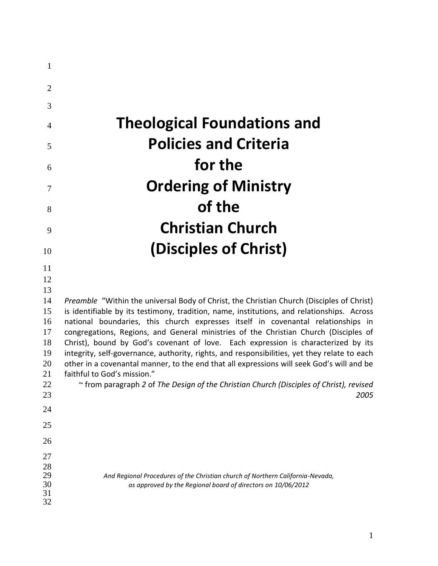| $\mathbf{1}$   |                                                                                                                                                                          |
|----------------|--------------------------------------------------------------------------------------------------------------------------------------------------------------------------|
| $\overline{2}$ |                                                                                                                                                                          |
| 3              |                                                                                                                                                                          |
| $\overline{4}$ | <b>Theological Foundations and</b>                                                                                                                                       |
| 5              | <b>Policies and Criteria</b>                                                                                                                                             |
| 6              | for the                                                                                                                                                                  |
| 7              | <b>Ordering of Ministry</b>                                                                                                                                              |
| 8              | of the                                                                                                                                                                   |
| 9              | <b>Christian Church</b>                                                                                                                                                  |
| 10             | (Disciples of Christ)                                                                                                                                                    |
| 11             |                                                                                                                                                                          |
| 12             |                                                                                                                                                                          |
| 13             |                                                                                                                                                                          |
| 14             | Preamble "Within the universal Body of Christ, the Christian Church (Disciples of Christ)                                                                                |
| 15             | is identifiable by its testimony, tradition, name, institutions, and relationships. Across                                                                               |
| 16<br>17       | national boundaries, this church expresses itself in covenantal relationships in<br>congregations, Regions, and General ministries of the Christian Church (Disciples of |
| 18             | Christ), bound by God's covenant of love. Each expression is characterized by its                                                                                        |
| 19             | integrity, self-governance, authority, rights, and responsibilities, yet they relate to each                                                                             |
| 20             | other in a covenantal manner, to the end that all expressions will seek God's will and be                                                                                |
| 21             | faithful to God's mission."                                                                                                                                              |
| 22<br>23       | from paragraph 2 of The Design of the Christian Church (Disciples of Christ), revised<br>2005                                                                            |
| 24             |                                                                                                                                                                          |
| 25             |                                                                                                                                                                          |
| 26             |                                                                                                                                                                          |
| 27             |                                                                                                                                                                          |
| 28<br>29       |                                                                                                                                                                          |
|                | And Regional Procedures of the Christian church of Northern California-Nevada,<br>as approved by the Regional board of directors on 10/06/2012                           |
| 30<br>31       |                                                                                                                                                                          |
| 32             |                                                                                                                                                                          |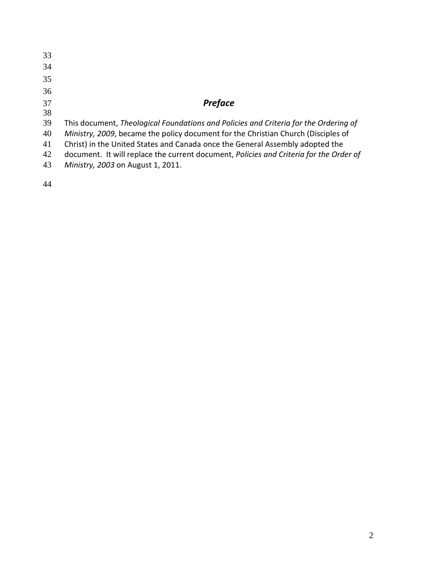| 33 |                                                                                        |
|----|----------------------------------------------------------------------------------------|
| 34 |                                                                                        |
| 35 |                                                                                        |
| 36 |                                                                                        |
| 37 | <b>Preface</b>                                                                         |
| 38 |                                                                                        |
| 39 | This document, Theological Foundations and Policies and Criteria for the Ordering of   |
| 40 | Ministry, 2009, became the policy document for the Christian Church (Disciples of      |
| 41 | Christ) in the United States and Canada once the General Assembly adopted the          |
| 42 | document. It will replace the current document, Policies and Criteria for the Order of |
| 43 | Ministry, 2003 on August 1, 2011.                                                      |
|    |                                                                                        |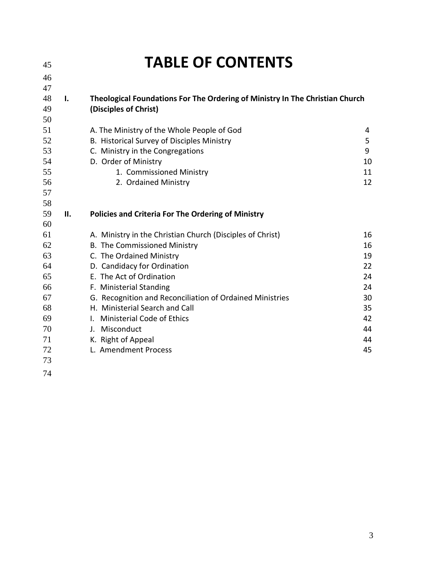| 45                                                                         |                | <b>TABLE OF CONTENTS</b>                                                                                                                                                                                                                                                                                                                                                                                  |                                                                      |
|----------------------------------------------------------------------------|----------------|-----------------------------------------------------------------------------------------------------------------------------------------------------------------------------------------------------------------------------------------------------------------------------------------------------------------------------------------------------------------------------------------------------------|----------------------------------------------------------------------|
| 46                                                                         |                |                                                                                                                                                                                                                                                                                                                                                                                                           |                                                                      |
| 47<br>48<br>49<br>50                                                       | $\mathbf{I}$ . | Theological Foundations For The Ordering of Ministry In The Christian Church<br>(Disciples of Christ)                                                                                                                                                                                                                                                                                                     |                                                                      |
| 51<br>52<br>53<br>54<br>55<br>56<br>57<br>58                               |                | A. The Ministry of the Whole People of God<br>B. Historical Survey of Disciples Ministry<br>C. Ministry in the Congregations<br>D. Order of Ministry<br>1. Commissioned Ministry<br>2. Ordained Ministry                                                                                                                                                                                                  | 4<br>5<br>9<br>10<br>11<br>12                                        |
| 59<br>60                                                                   | П.             | <b>Policies and Criteria For The Ordering of Ministry</b>                                                                                                                                                                                                                                                                                                                                                 |                                                                      |
| 61<br>62<br>63<br>64<br>65<br>66<br>67<br>68<br>69<br>70<br>71<br>72<br>73 |                | A. Ministry in the Christian Church (Disciples of Christ)<br>B. The Commissioned Ministry<br>C. The Ordained Ministry<br>D. Candidacy for Ordination<br>E. The Act of Ordination<br>F. Ministerial Standing<br>G. Recognition and Reconciliation of Ordained Ministries<br>H. Ministerial Search and Call<br>I. Ministerial Code of Ethics<br>J. Misconduct<br>K. Right of Appeal<br>L. Amendment Process | 16<br>16<br>19<br>22<br>24<br>24<br>30<br>35<br>42<br>44<br>44<br>45 |
| 74                                                                         |                |                                                                                                                                                                                                                                                                                                                                                                                                           |                                                                      |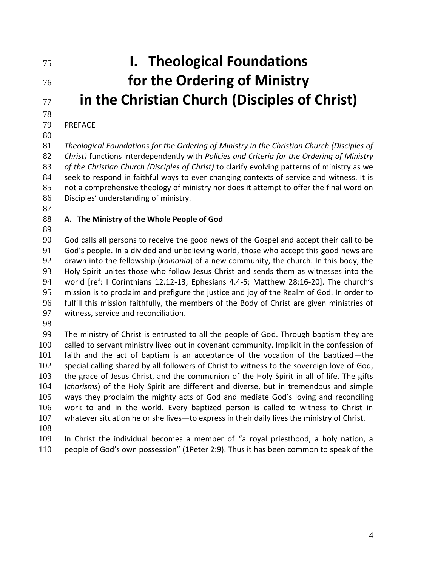# **I. Theological Foundations for the Ordering of Ministry in the Christian Church (Disciples of Christ)**

# PREFACE

 *Theological Foundations for the Ordering of Ministry in the Christian Church (Disciples of Christ)* functions interdependently with *Policies and Criteria for the Ordering of Ministry of the Christian Church (Disciples of Christ)* to clarify evolving patterns of ministry as we seek to respond in faithful ways to ever changing contexts of service and witness. It is not a comprehensive theology of ministry nor does it attempt to offer the final word on Disciples' understanding of ministry.

#### **A. The Ministry of the Whole People of God**

 God calls all persons to receive the good news of the Gospel and accept their call to be God's people. In a divided and unbelieving world, those who accept this good news are drawn into the fellowship (*koinonia*) of a new community, the church. In this body, the Holy Spirit unites those who follow Jesus Christ and sends them as witnesses into the world [ref: I Corinthians 12.12-13; Ephesians 4.4-5; Matthew 28:16-20]. The church's mission is to proclaim and prefigure the justice and joy of the Realm of God. In order to fulfill this mission faithfully, the members of the Body of Christ are given ministries of witness, service and reconciliation.

 The ministry of Christ is entrusted to all the people of God. Through baptism they are 100 called to servant ministry lived out in covenant community. Implicit in the confession of faith and the act of baptism is an acceptance of the vocation of the baptized—the 102 special calling shared by all followers of Christ to witness to the sovereign love of God, the grace of Jesus Christ, and the communion of the Holy Spirit in all of life. The gifts (*charisms*) of the Holy Spirit are different and diverse, but in tremendous and simple ways they proclaim the mighty acts of God and mediate God's loving and reconciling work to and in the world. Every baptized person is called to witness to Christ in whatever situation he or she lives—to express in their daily lives the ministry of Christ.

 In Christ the individual becomes a member of "a royal priesthood, a holy nation, a people of God's own possession" (1Peter 2:9). Thus it has been common to speak of the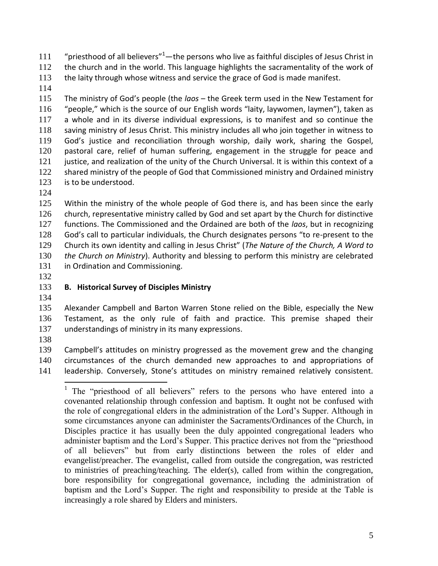111 "priesthood of all believers"—the persons who live as faithful disciples of Jesus Christ in

the church and in the world. This language highlights the sacramentality of the work of

- 113 the laity through whose witness and service the grace of God is made manifest.
- 

 The ministry of God's people (the *laos* – the Greek term used in the New Testament for "people," which is the source of our English words "laity, laywomen, laymen"), taken as a whole and in its diverse individual expressions, is to manifest and so continue the saving ministry of Jesus Christ. This ministry includes all who join together in witness to God's justice and reconciliation through worship, daily work, sharing the Gospel, pastoral care, relief of human suffering, engagement in the struggle for peace and 121 justice, and realization of the unity of the Church Universal. It is within this context of a shared ministry of the people of God that Commissioned ministry and Ordained ministry is to be understood.

 Within the ministry of the whole people of God there is, and has been since the early church, representative ministry called by God and set apart by the Church for distinctive functions. The Commissioned and the Ordained are both of the *laos*, but in recognizing God's call to particular individuals, the Church designates persons "to re-present to the Church its own identity and calling in Jesus Christ" (*The Nature of the Church, A Word to the Church on Ministry*). Authority and blessing to perform this ministry are celebrated 131 in Ordination and Commissioning.

# **B. Historical Survey of Disciples Ministry**

 Alexander Campbell and Barton Warren Stone relied on the Bible, especially the New Testament, as the only rule of faith and practice. This premise shaped their understandings of ministry in its many expressions.

 Campbell's attitudes on ministry progressed as the movement grew and the changing circumstances of the church demanded new approaches to and appropriations of leadership. Conversely, Stone's attitudes on ministry remained relatively consistent.

<sup>&</sup>lt;sup>1</sup> The "priesthood of all believers" refers to the persons who have entered into a covenanted relationship through confession and baptism. It ought not be confused with the role of congregational elders in the administration of the Lord's Supper. Although in some circumstances anyone can administer the Sacraments/Ordinances of the Church, in Disciples practice it has usually been the duly appointed congregational leaders who administer baptism and the Lord's Supper. This practice derives not from the "priesthood of all believers" but from early distinctions between the roles of elder and evangelist/preacher. The evangelist, called from outside the congregation, was restricted to ministries of preaching/teaching. The elder(s), called from within the congregation, bore responsibility for congregational governance, including the administration of baptism and the Lord's Supper. The right and responsibility to preside at the Table is increasingly a role shared by Elders and ministers.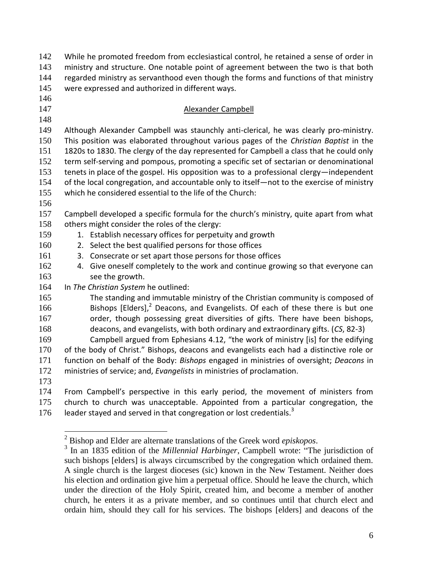| 142 | While he promoted freedom from ecclesiastical control, he retained a sense of order in     |  |  |  |  |  |
|-----|--------------------------------------------------------------------------------------------|--|--|--|--|--|
| 143 | ministry and structure. One notable point of agreement between the two is that both        |  |  |  |  |  |
| 144 | regarded ministry as servanthood even though the forms and functions of that ministry      |  |  |  |  |  |
| 145 | were expressed and authorized in different ways.                                           |  |  |  |  |  |
| 146 |                                                                                            |  |  |  |  |  |
| 147 | Alexander Campbell                                                                         |  |  |  |  |  |
| 148 |                                                                                            |  |  |  |  |  |
| 149 | Although Alexander Campbell was staunchly anti-clerical, he was clearly pro-ministry.      |  |  |  |  |  |
| 150 | This position was elaborated throughout various pages of the Christian Baptist in the      |  |  |  |  |  |
| 151 | 1820s to 1830. The clergy of the day represented for Campbell a class that he could only   |  |  |  |  |  |
| 152 | term self-serving and pompous, promoting a specific set of sectarian or denominational     |  |  |  |  |  |
| 153 | tenets in place of the gospel. His opposition was to a professional clergy—independent     |  |  |  |  |  |
| 154 | of the local congregation, and accountable only to itself-not to the exercise of ministry  |  |  |  |  |  |
| 155 | which he considered essential to the life of the Church:                                   |  |  |  |  |  |
| 156 |                                                                                            |  |  |  |  |  |
| 157 | Campbell developed a specific formula for the church's ministry, quite apart from what     |  |  |  |  |  |
| 158 | others might consider the roles of the clergy:                                             |  |  |  |  |  |
| 159 | 1. Establish necessary offices for perpetuity and growth                                   |  |  |  |  |  |
| 160 | 2. Select the best qualified persons for those offices                                     |  |  |  |  |  |
| 161 | 3. Consecrate or set apart those persons for those offices                                 |  |  |  |  |  |
| 162 | 4. Give oneself completely to the work and continue growing so that everyone can           |  |  |  |  |  |
| 163 | see the growth.                                                                            |  |  |  |  |  |
| 164 | In The Christian System he outlined:                                                       |  |  |  |  |  |
| 165 | The standing and immutable ministry of the Christian community is composed of              |  |  |  |  |  |
| 166 | Bishops [Elders], <sup>2</sup> Deacons, and Evangelists. Of each of these there is but one |  |  |  |  |  |
| 167 | order, though possessing great diversities of gifts. There have been bishops,              |  |  |  |  |  |
| 168 | deacons, and evangelists, with both ordinary and extraordinary gifts. (CS, 82-3)           |  |  |  |  |  |
| 169 | Campbell argued from Ephesians 4.12, "the work of ministry [is] for the edifying           |  |  |  |  |  |
| 170 | of the body of Christ." Bishops, deacons and evangelists each had a distinctive role or    |  |  |  |  |  |
| 171 | function on behalf of the Body: Bishops engaged in ministries of oversight; Deacons in     |  |  |  |  |  |
| 172 | ministries of service; and, Evangelists in ministries of proclamation.                     |  |  |  |  |  |
| 173 |                                                                                            |  |  |  |  |  |
| 174 | From Campbell's perspective in this early period, the movement of ministers from           |  |  |  |  |  |
| 175 | church to church was unacceptable. Appointed from a particular congregation, the           |  |  |  |  |  |
| 176 | leader stayed and served in that congregation or lost credentials. <sup>3</sup>            |  |  |  |  |  |
|     |                                                                                            |  |  |  |  |  |

 $\overline{a}$ 

Bishop and Elder are alternate translations of the Greek word *episkopos*.

<sup>&</sup>lt;sup>3</sup> In an 1835 edition of the *Millennial Harbinger*, Campbell wrote: "The jurisdiction of such bishops [elders] is always circumscribed by the congregation which ordained them. A single church is the largest dioceses (sic) known in the New Testament. Neither does his election and ordination give him a perpetual office. Should he leave the church, which under the direction of the Holy Spirit, created him, and become a member of another church, he enters it as a private member, and so continues until that church elect and ordain him, should they call for his services. The bishops [elders] and deacons of the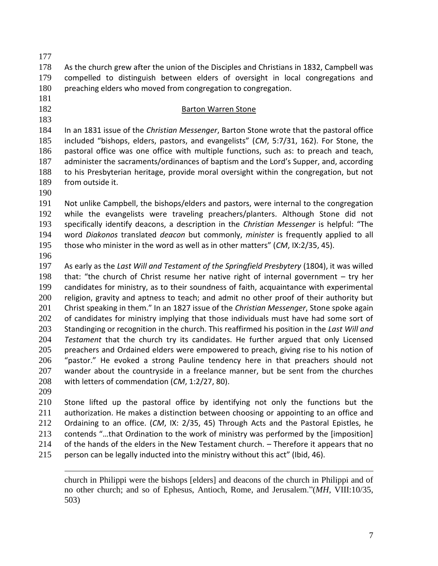As the church grew after the union of the Disciples and Christians in 1832, Campbell was compelled to distinguish between elders of oversight in local congregations and 180 preaching elders who moved from congregation to congregation.

- -

#### 182 Barton Warren Stone

 In an 1831 issue of the *Christian Messenger*, Barton Stone wrote that the pastoral office included "bishops, elders, pastors, and evangelists" (*CM*, 5:7/31, 162). For Stone, the pastoral office was one office with multiple functions, such as: to preach and teach, administer the sacraments/ordinances of baptism and the Lord's Supper, and, according to his Presbyterian heritage, provide moral oversight within the congregation, but not from outside it.

 Not unlike Campbell, the bishops/elders and pastors, were internal to the congregation while the evangelists were traveling preachers/planters. Although Stone did not specifically identify deacons, a description in the *Christian Messenger* is helpful: "The word *Diakonos* translated *deacon* but commonly, *minister* is frequently applied to all those who minister in the word as well as in other matters" (*CM*, IX:2/35, 45).

 As early as the *Last Will and Testament of the Springfield Presbytery* (1804), it was willed that: "the church of Christ resume her native right of internal government – try her candidates for ministry, as to their soundness of faith, acquaintance with experimental religion, gravity and aptness to teach; and admit no other proof of their authority but Christ speaking in them." In an 1827 issue of the *Christian Messenger*, Stone spoke again 202 of candidates for ministry implying that those individuals must have had some sort of Standinging or recognition in the church. This reaffirmed his position in the *Last Will and Testament* that the church try its candidates. He further argued that only Licensed 205 preachers and Ordained elders were empowered to preach, giving rise to his notion of "pastor." He evoked a strong Pauline tendency here in that preachers should not wander about the countryside in a freelance manner, but be sent from the churches with letters of commendation (*CM*, 1:2/27, 80).

 Stone lifted up the pastoral office by identifying not only the functions but the authorization. He makes a distinction between choosing or appointing to an office and Ordaining to an office. (*CM*, IX: 2/35, 45) Through Acts and the Pastoral Epistles, he contends "…that Ordination to the work of ministry was performed by the [imposition] of the hands of the elders in the New Testament church. – Therefore it appears that no person can be legally inducted into the ministry without this act" (Ibid, 46).

 $\overline{a}$ church in Philippi were the bishops [elders] and deacons of the church in Philippi and of no other church; and so of Ephesus, Antioch, Rome, and Jerusalem."(*MH*, VIII:10/35, 503)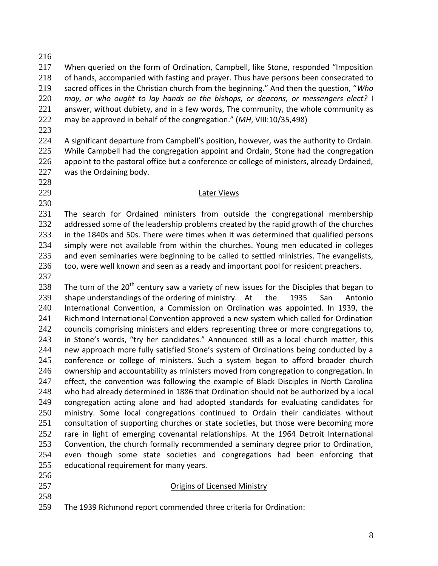217 When queried on the form of Ordination, Campbell, like Stone, responded "Imposition of hands, accompanied with fasting and prayer. Thus have persons been consecrated to sacred offices in the Christian church from the beginning." And then the question, "*Who may, or who ought to lay hands on the bishops, or deacons, or messengers elect?* I answer, without dubiety, and in a few words, The community, the whole community as may be approved in behalf of the congregation." (*MH*, VIII:10/35,498)

 A significant departure from Campbell's position, however, was the authority to Ordain. 225 While Campbell had the congregation appoint and Ordain, Stone had the congregation 226 appoint to the pastoral office but a conference or college of ministers, already Ordained, was the Ordaining body.

#### Later Views

 The search for Ordained ministers from outside the congregational membership 232 addressed some of the leadership problems created by the rapid growth of the churches in the 1840s and 50s. There were times when it was determined that qualified persons simply were not available from within the churches. Young men educated in colleges 235 and even seminaries were beginning to be called to settled ministries. The evangelists, 236 too, were well known and seen as a ready and important pool for resident preachers.

238 The turn of the 20<sup>th</sup> century saw a variety of new issues for the Disciples that began to shape understandings of the ordering of ministry. At the 1935 San Antonio International Convention, a Commission on Ordination was appointed. In 1939, the Richmond International Convention approved a new system which called for Ordination 242 councils comprising ministers and elders representing three or more congregations to, in Stone's words, "try her candidates." Announced still as a local church matter, this new approach more fully satisfied Stone's system of Ordinations being conducted by a conference or college of ministers. Such a system began to afford broader church ownership and accountability as ministers moved from congregation to congregation. In effect, the convention was following the example of Black Disciples in North Carolina who had already determined in 1886 that Ordination should not be authorized by a local congregation acting alone and had adopted standards for evaluating candidates for ministry. Some local congregations continued to Ordain their candidates without consultation of supporting churches or state societies, but those were becoming more rare in light of emerging covenantal relationships. At the 1964 Detroit International Convention, the church formally recommended a seminary degree prior to Ordination, even though some state societies and congregations had been enforcing that educational requirement for many years.

- 
- 
- Origins of Licensed Ministry
- The 1939 Richmond report commended three criteria for Ordination: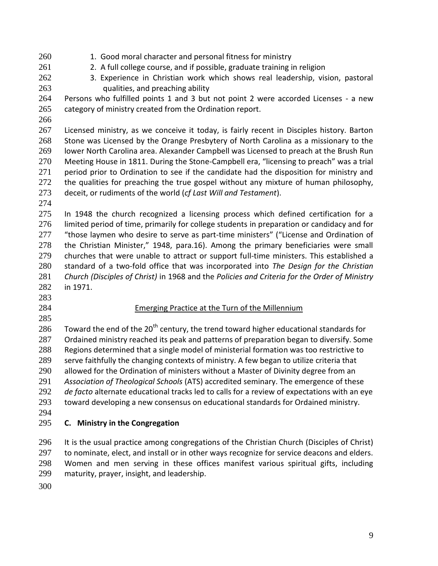- 260 1. Good moral character and personal fitness for ministry
- 261 2. A full college course, and if possible, graduate training in religion
- 3. Experience in Christian work which shows real leadership, vision, pastoral
	-

 qualities, and preaching ability Persons who fulfilled points 1 and 3 but not point 2 were accorded Licenses - a new

- 265 category of ministry created from the Ordination report.
- 

 Licensed ministry, as we conceive it today, is fairly recent in Disciples history. Barton Stone was Licensed by the Orange Presbytery of North Carolina as a missionary to the lower North Carolina area. Alexander Campbell was Licensed to preach at the Brush Run Meeting House in 1811. During the Stone-Campbell era, "licensing to preach" was a trial period prior to Ordination to see if the candidate had the disposition for ministry and 272 the qualities for preaching the true gospel without any mixture of human philosophy, deceit, or rudiments of the world (*cf Last Will and Testament*).

275 In 1948 the church recognized a licensing process which defined certification for a limited period of time, primarily for college students in preparation or candidacy and for 277 "those laymen who desire to serve as part-time ministers" ("License and Ordination of the Christian Minister," 1948, para.16). Among the primary beneficiaries were small churches that were unable to attract or support full-time ministers. This established a standard of a two-fold office that was incorporated into *The Design for the Christian Church (Disciples of Christ)* in 1968 and the *Policies and Criteria for the Order of Ministry* in 1971.

- 
- 
- 

### Emerging Practice at the Turn of the Millennium

286 Toward the end of the 20<sup>th</sup> century, the trend toward higher educational standards for Ordained ministry reached its peak and patterns of preparation began to diversify. Some Regions determined that a single model of ministerial formation was too restrictive to serve faithfully the changing contexts of ministry. A few began to utilize criteria that 290 allowed for the Ordination of ministers without a Master of Divinity degree from an *Association of Theological Schools* (ATS) accredited seminary. The emergence of these *de facto* alternate educational tracks led to calls for a review of expectations with an eye toward developing a new consensus on educational standards for Ordained ministry.

# **C. Ministry in the Congregation**

 It is the usual practice among congregations of the Christian Church (Disciples of Christ) 297 to nominate, elect, and install or in other ways recognize for service deacons and elders. Women and men serving in these offices manifest various spiritual gifts, including maturity, prayer, insight, and leadership.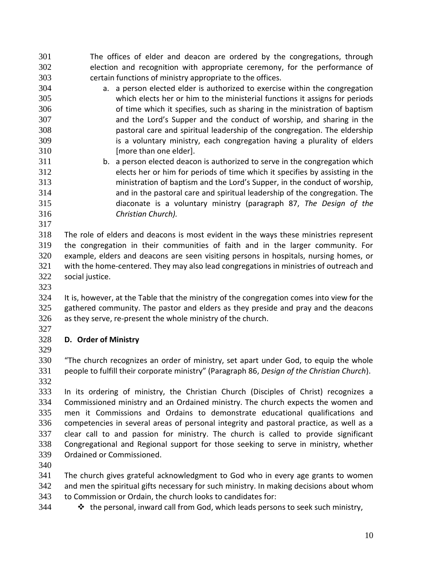- The offices of elder and deacon are ordered by the congregations, through election and recognition with appropriate ceremony, for the performance of certain functions of ministry appropriate to the offices.
- a. a person elected elder is authorized to exercise within the congregation which elects her or him to the ministerial functions it assigns for periods of time which it specifies, such as sharing in the ministration of baptism and the Lord's Supper and the conduct of worship, and sharing in the pastoral care and spiritual leadership of the congregation. The eldership is a voluntary ministry, each congregation having a plurality of elders 310 [more than one elder].
- b. a person elected deacon is authorized to serve in the congregation which elects her or him for periods of time which it specifies by assisting in the ministration of baptism and the Lord's Supper, in the conduct of worship, and in the pastoral care and spiritual leadership of the congregation. The diaconate is a voluntary ministry (paragraph 87, *The Design of the Christian Church).*
- 

 The role of elders and deacons is most evident in the ways these ministries represent the congregation in their communities of faith and in the larger community. For example, elders and deacons are seen visiting persons in hospitals, nursing homes, or with the home-centered. They may also lead congregations in ministries of outreach and social justice.

324 It is, however, at the Table that the ministry of the congregation comes into view for the gathered community. The pastor and elders as they preside and pray and the deacons as they serve, re-present the whole ministry of the church.

#### **D. Order of Ministry**

 "The church recognizes an order of ministry, set apart under God, to equip the whole people to fulfill their corporate ministry" (Paragraph 86, *Design of the Christian Church*). 

 In its ordering of ministry, the Christian Church (Disciples of Christ) recognizes a Commissioned ministry and an Ordained ministry. The church expects the women and men it Commissions and Ordains to demonstrate educational qualifications and competencies in several areas of personal integrity and pastoral practice, as well as a clear call to and passion for ministry. The church is called to provide significant Congregational and Regional support for those seeking to serve in ministry, whether Ordained or Commissioned.

 The church gives grateful acknowledgment to God who in every age grants to women and men the spiritual gifts necessary for such ministry. In making decisions about whom to Commission or Ordain, the church looks to candidates for:

**\*** the personal, inward call from God, which leads persons to seek such ministry,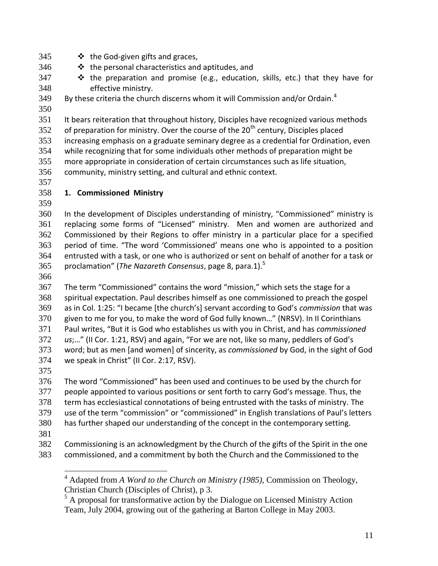- 345  $\bullet$  the God-given gifts and graces,
- 346  $\cdot\cdot\cdot$  the personal characteristics and aptitudes, and
- 347  $\cdot\cdot\cdot$  the preparation and promise (e.g., education, skills, etc.) that they have for effective ministry.
- 349 By these criteria the church discerns whom it will Commission and/or Ordain.<sup>4</sup>
- 

 It bears reiteration that throughout history, Disciples have recognized various methods 352 of preparation for ministry. Over the course of the  $20<sup>th</sup>$  century, Disciples placed increasing emphasis on a graduate seminary degree as a credential for Ordination, even while recognizing that for some individuals other methods of preparation might be more appropriate in consideration of certain circumstances such as life situation, community, ministry setting, and cultural and ethnic context.

# **1. Commissioned Ministry**

 In the development of Disciples understanding of ministry, "Commissioned" ministry is replacing some forms of "Licensed" ministry. Men and women are authorized and Commissioned by their Regions to offer ministry in a particular place for a specified period of time. "The word 'Commissioned' means one who is appointed to a position entrusted with a task, or one who is authorized or sent on behalf of another for a task or proclamation" (*The Nazareth Consensus*, page 8, para.1).<sup>5</sup>

 

 The term "Commissioned" contains the word "mission," which sets the stage for a spiritual expectation. Paul describes himself as one commissioned to preach the gospel as in Col. 1:25: "I became [the church's] servant according to God's *commission* that was given to me for you, to make the word of God fully known…" (NRSV). In II Corinthians Paul writes, "But it is God who establishes us with you in Christ, and has *commissioned us*;…" (II Cor. 1:21, RSV) and again, "For we are not, like so many, peddlers of God's word; but as men [and women] of sincerity, as *commissioned* by God, in the sight of God we speak in Christ" (II Cor. 2:17, RSV).

 The word "Commissioned" has been used and continues to be used by the church for people appointed to various positions or sent forth to carry God's message. Thus, the term has ecclesiastical connotations of being entrusted with the tasks of ministry. The use of the term "commission" or "commissioned" in English translations of Paul's letters has further shaped our understanding of the concept in the contemporary setting.

 $\overline{a}$ 

 Commissioning is an acknowledgment by the Church of the gifts of the Spirit in the one commissioned, and a commitment by both the Church and the Commissioned to the

 Adapted from *A Word to the Church on Ministry (1985),* Commission on Theology, Christian Church (Disciples of Christ), p 3.

<sup>&</sup>lt;sup>5</sup> A proposal for transformative action by the Dialogue on Licensed Ministry Action Team, July 2004, growing out of the gathering at Barton College in May 2003.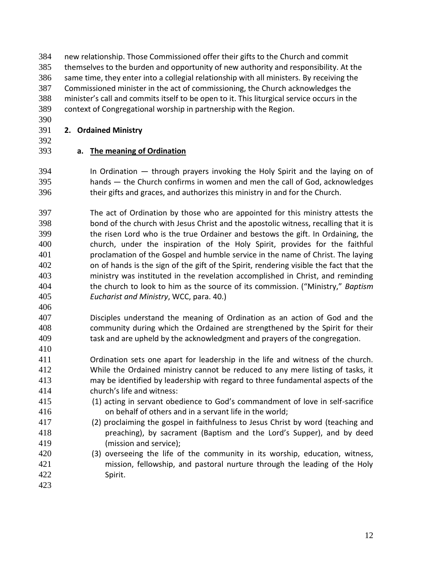new relationship. Those Commissioned offer their gifts to the Church and commit themselves to the burden and opportunity of new authority and responsibility. At the same time, they enter into a collegial relationship with all ministers. By receiving the Commissioned minister in the act of commissioning, the Church acknowledges the minister's call and commits itself to be open to it. This liturgical service occurs in the context of Congregational worship in partnership with the Region.

# **2. Ordained Ministry**

# **a. The meaning of Ordination**

- In Ordination through prayers invoking the Holy Spirit and the laying on of hands — the Church confirms in women and men the call of God, acknowledges their gifts and graces, and authorizes this ministry in and for the Church.
- The act of Ordination by those who are appointed for this ministry attests the bond of the church with Jesus Christ and the apostolic witness, recalling that it is the risen Lord who is the true Ordainer and bestows the gift. In Ordaining, the church, under the inspiration of the Holy Spirit, provides for the faithful proclamation of the Gospel and humble service in the name of Christ. The laying on of hands is the sign of the gift of the Spirit, rendering visible the fact that the ministry was instituted in the revelation accomplished in Christ, and reminding the church to look to him as the source of its commission. ("Ministry," *Baptism Eucharist and Ministry*, WCC, para. 40.)
- 

- Disciples understand the meaning of Ordination as an action of God and the community during which the Ordained are strengthened by the Spirit for their task and are upheld by the acknowledgment and prayers of the congregation.
- Ordination sets one apart for leadership in the life and witness of the church. While the Ordained ministry cannot be reduced to any mere listing of tasks, it may be identified by leadership with regard to three fundamental aspects of the church's life and witness:
- (1) acting in servant obedience to God's commandment of love in self-sacrifice on behalf of others and in a servant life in the world;
- (2) proclaiming the gospel in faithfulness to Jesus Christ by word (teaching and preaching), by sacrament (Baptism and the Lord's Supper), and by deed (mission and service);
- (3) overseeing the life of the community in its worship, education, witness, mission, fellowship, and pastoral nurture through the leading of the Holy Spirit.
-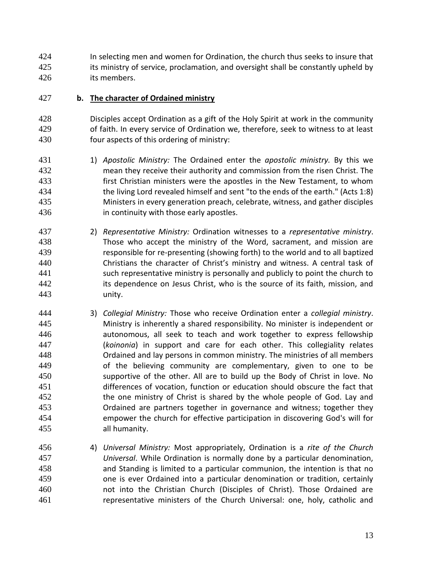In selecting men and women for Ordination, the church thus seeks to insure that 425 its ministry of service, proclamation, and oversight shall be constantly upheld by its members.

## **b. The character of Ordained ministry**

 Disciples accept Ordination as a gift of the Holy Spirit at work in the community of faith. In every service of Ordination we, therefore, seek to witness to at least four aspects of this ordering of ministry:

- 1) *Apostolic Ministry:* The Ordained enter the *apostolic ministry.* By this we mean they receive their authority and commission from the risen Christ. The first Christian ministers were the apostles in the New Testament, to whom the living Lord revealed himself and sent "to the ends of the earth." (Acts 1:8) Ministers in every generation preach, celebrate, witness, and gather disciples in continuity with those early apostles.
- 2) *Representative Ministry:* Ordination witnesses to a *representative ministry*. Those who accept the ministry of the Word, sacrament, and mission are responsible for re-presenting (showing forth) to the world and to all baptized Christians the character of Christ's ministry and witness. A central task of such representative ministry is personally and publicly to point the church to its dependence on Jesus Christ, who is the source of its faith, mission, and unity.
- 3) *Collegial Ministry:* Those who receive Ordination enter a *collegial ministry*. Ministry is inherently a shared responsibility. No minister is independent or autonomous, all seek to teach and work together to express fellowship (*koinonia*) in support and care for each other. This collegiality relates Ordained and lay persons in common ministry. The ministries of all members of the believing community are complementary, given to one to be supportive of the other. All are to build up the Body of Christ in love. No differences of vocation, function or education should obscure the fact that the one ministry of Christ is shared by the whole people of God. Lay and Ordained are partners together in governance and witness; together they empower the church for effective participation in discovering God's will for all humanity.
- 4) *Universal Ministry:* Most appropriately, Ordination is a *rite of the Church Universal*. While Ordination is normally done by a particular denomination, and Standing is limited to a particular communion, the intention is that no one is ever Ordained into a particular denomination or tradition, certainly not into the Christian Church (Disciples of Christ). Those Ordained are representative ministers of the Church Universal: one, holy, catholic and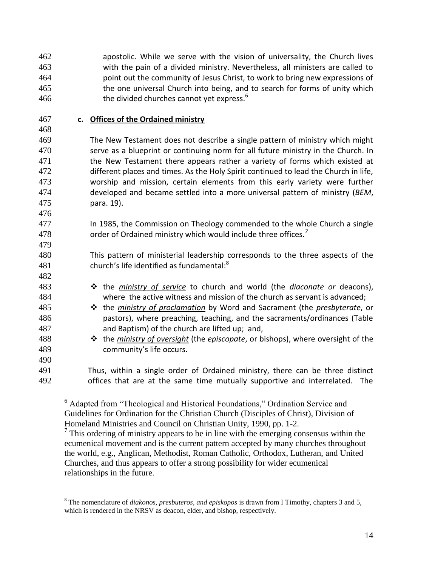apostolic. While we serve with the vision of universality, the Church lives with the pain of a divided ministry. Nevertheless, all ministers are called to point out the community of Jesus Christ, to work to bring new expressions of the one universal Church into being, and to search for forms of unity which the divided churches cannot yet express.

### **c. Offices of the Ordained ministry**

 

 The New Testament does not describe a single pattern of ministry which might serve as a blueprint or continuing norm for all future ministry in the Church. In 471 the New Testament there appears rather a variety of forms which existed at different places and times. As the Holy Spirit continued to lead the Church in life, worship and mission, certain elements from this early variety were further developed and became settled into a more universal pattern of ministry (*BEM*, para. 19).

 In 1985, the Commission on Theology commended to the whole Church a single order of Ordained ministry which would include three offices*. 7* 

 This pattern of ministerial leadership corresponds to the three aspects of the church's life identified as fundamental:<sup>8</sup>

- **\*** the *ministry of service* to church and world (the *diaconate or* deacons), where the active witness and mission of the church as servant is advanced;
- the *ministry of proclamation* by Word and Sacrament (the *presbyterate*, or pastors), where preaching, teaching, and the sacraments/ordinances (Table and Baptism) of the church are lifted up; and,
- the *ministry of oversight* (the *episcopate*, or bishops), where oversight of the community's life occurs.
- Thus, within a single order of Ordained ministry, there can be three distinct offices that are at the same time mutually supportive and interrelated. The

 $\overline{a}$ <sup>6</sup> Adapted from "Theological and Historical Foundations," Ordination Service and Guidelines for Ordination for the Christian Church (Disciples of Christ), Division of Homeland Ministries and Council on Christian Unity, 1990, pp. 1-2.

 This ordering of ministry appears to be in line with the emerging consensus within the ecumenical movement and is the current pattern accepted by many churches throughout the world, e.g., Anglican, Methodist, Roman Catholic, Orthodox, Lutheran, and United Churches, and thus appears to offer a strong possibility for wider ecumenical relationships in the future.

 The nomenclature of *diakonos, presbuteros, and episkopos* is drawn from I Timothy, chapters 3 and 5, which is rendered in the NRSV as deacon, elder, and bishop, respectively.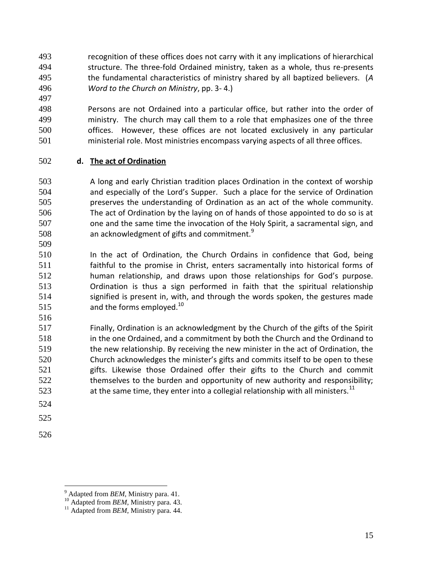- recognition of these offices does not carry with it any implications of hierarchical structure. The three-fold Ordained ministry, taken as a whole, thus re-presents the fundamental characteristics of ministry shared by all baptized believers. (*A Word to the Church on Ministry*, pp. 3- 4.)
- Persons are not Ordained into a particular office, but rather into the order of ministry. The church may call them to a role that emphasizes one of the three offices. However, these offices are not located exclusively in any particular ministerial role. Most ministries encompass varying aspects of all three offices.

# **d. The act of Ordination**

- A long and early Christian tradition places Ordination in the context of worship and especially of the Lord's Supper. Such a place for the service of Ordination preserves the understanding of Ordination as an act of the whole community. The act of Ordination by the laying on of hands of those appointed to do so is at one and the same time the invocation of the Holy Spirit, a sacramental sign, and an acknowledgment of gifts and commitment.
- In the act of Ordination, the Church Ordains in confidence that God, being faithful to the promise in Christ, enters sacramentally into historical forms of human relationship, and draws upon those relationships for God's purpose. Ordination is thus a sign performed in faith that the spiritual relationship signified is present in, with, and through the words spoken, the gestures made 515 and the forms employed.<sup>10</sup>
- 

 Finally, Ordination is an acknowledgment by the Church of the gifts of the Spirit in the one Ordained, and a commitment by both the Church and the Ordinand to the new relationship. By receiving the new minister in the act of Ordination, the Church acknowledges the minister's gifts and commits itself to be open to these gifts. Likewise those Ordained offer their gifts to the Church and commit themselves to the burden and opportunity of new authority and responsibility; **at the same time, they enter into a collegial relationship with all ministers.**<sup>11</sup>

- 
- 

 $\overline{a}$ 

Adapted from *BEM*, Ministry para. 41.

<sup>&</sup>lt;sup>10</sup> Adapted from *BEM*, Ministry para. 43.

<sup>&</sup>lt;sup>11</sup> Adapted from *BEM*, Ministry para. 44.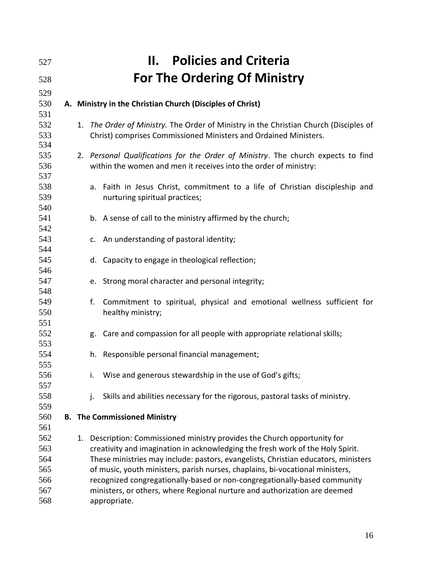| 527                                           |    | <b>Policies and Criteria</b><br>Н.                                                                                                                                                                                                                                                                                                                                                                                                                                                                        |
|-----------------------------------------------|----|-----------------------------------------------------------------------------------------------------------------------------------------------------------------------------------------------------------------------------------------------------------------------------------------------------------------------------------------------------------------------------------------------------------------------------------------------------------------------------------------------------------|
| 528                                           |    | <b>For The Ordering Of Ministry</b>                                                                                                                                                                                                                                                                                                                                                                                                                                                                       |
| 529                                           |    |                                                                                                                                                                                                                                                                                                                                                                                                                                                                                                           |
| 530                                           |    | A. Ministry in the Christian Church (Disciples of Christ)                                                                                                                                                                                                                                                                                                                                                                                                                                                 |
| 531<br>532<br>533                             |    | 1. The Order of Ministry. The Order of Ministry in the Christian Church (Disciples of<br>Christ) comprises Commissioned Ministers and Ordained Ministers.                                                                                                                                                                                                                                                                                                                                                 |
| 534<br>535<br>536<br>537                      |    | 2. Personal Qualifications for the Order of Ministry. The church expects to find<br>within the women and men it receives into the order of ministry:                                                                                                                                                                                                                                                                                                                                                      |
| 538<br>539<br>540                             |    | Faith in Jesus Christ, commitment to a life of Christian discipleship and<br>a.<br>nurturing spiritual practices;                                                                                                                                                                                                                                                                                                                                                                                         |
| 541<br>542                                    |    | b. A sense of call to the ministry affirmed by the church;                                                                                                                                                                                                                                                                                                                                                                                                                                                |
| 543<br>544                                    |    | c. An understanding of pastoral identity;                                                                                                                                                                                                                                                                                                                                                                                                                                                                 |
| 545<br>546                                    |    | d. Capacity to engage in theological reflection;                                                                                                                                                                                                                                                                                                                                                                                                                                                          |
| 547<br>548                                    |    | e. Strong moral character and personal integrity;                                                                                                                                                                                                                                                                                                                                                                                                                                                         |
| 549<br>550<br>551                             |    | f.<br>Commitment to spiritual, physical and emotional wellness sufficient for<br>healthy ministry;                                                                                                                                                                                                                                                                                                                                                                                                        |
| 552<br>553                                    |    | Care and compassion for all people with appropriate relational skills;<br>g.                                                                                                                                                                                                                                                                                                                                                                                                                              |
| 554<br>555                                    |    | Responsible personal financial management;<br>h.                                                                                                                                                                                                                                                                                                                                                                                                                                                          |
| 556<br>557                                    |    | i. Wise and generous stewardship in the use of God's gifts;                                                                                                                                                                                                                                                                                                                                                                                                                                               |
| 558<br>559                                    |    | Skills and abilities necessary for the rigorous, pastoral tasks of ministry.<br>j.                                                                                                                                                                                                                                                                                                                                                                                                                        |
| 560<br>561                                    |    | <b>B.</b> The Commissioned Ministry                                                                                                                                                                                                                                                                                                                                                                                                                                                                       |
| 562<br>563<br>564<br>565<br>566<br>567<br>568 | 1. | Description: Commissioned ministry provides the Church opportunity for<br>creativity and imagination in acknowledging the fresh work of the Holy Spirit.<br>These ministries may include: pastors, evangelists, Christian educators, ministers<br>of music, youth ministers, parish nurses, chaplains, bi-vocational ministers,<br>recognized congregationally-based or non-congregationally-based community<br>ministers, or others, where Regional nurture and authorization are deemed<br>appropriate. |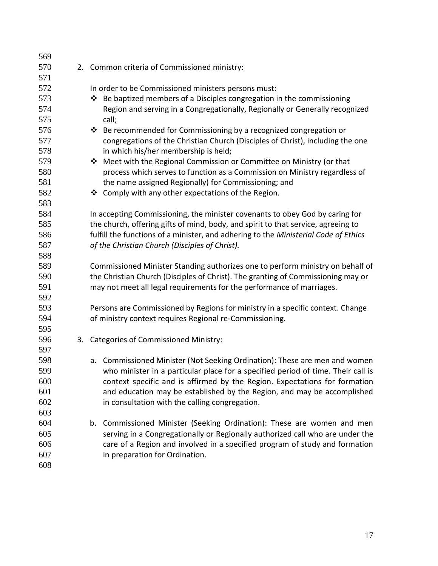| 569 |                                                                                     |
|-----|-------------------------------------------------------------------------------------|
| 570 | 2. Common criteria of Commissioned ministry:                                        |
| 571 |                                                                                     |
| 572 | In order to be Commissioned ministers persons must:                                 |
| 573 | ❖ Be baptized members of a Disciples congregation in the commissioning              |
| 574 | Region and serving in a Congregationally, Regionally or Generally recognized        |
| 575 | call;                                                                               |
| 576 | ❖ Be recommended for Commissioning by a recognized congregation or                  |
| 577 | congregations of the Christian Church (Disciples of Christ), including the one      |
| 578 | in which his/her membership is held;                                                |
| 579 | ❖ Meet with the Regional Commission or Committee on Ministry (or that               |
| 580 | process which serves to function as a Commission on Ministry regardless of          |
| 581 | the name assigned Regionally) for Commissioning; and                                |
| 582 | ❖ Comply with any other expectations of the Region.                                 |
| 583 |                                                                                     |
| 584 | In accepting Commissioning, the minister covenants to obey God by caring for        |
| 585 | the church, offering gifts of mind, body, and spirit to that service, agreeing to   |
| 586 | fulfill the functions of a minister, and adhering to the Ministerial Code of Ethics |
| 587 | of the Christian Church (Disciples of Christ).                                      |
| 588 |                                                                                     |
| 589 | Commissioned Minister Standing authorizes one to perform ministry on behalf of      |
| 590 | the Christian Church (Disciples of Christ). The granting of Commissioning may or    |
| 591 | may not meet all legal requirements for the performance of marriages.               |
| 592 |                                                                                     |
| 593 | Persons are Commissioned by Regions for ministry in a specific context. Change      |
| 594 | of ministry context requires Regional re-Commissioning.                             |
| 595 |                                                                                     |
| 596 | 3. Categories of Commissioned Ministry:                                             |
| 597 |                                                                                     |
| 598 | a. Commissioned Minister (Not Seeking Ordination): These are men and women          |
| 599 | who minister in a particular place for a specified period of time. Their call is    |
| 600 | context specific and is affirmed by the Region. Expectations for formation          |
| 601 | and education may be established by the Region, and may be accomplished             |
| 602 | in consultation with the calling congregation.                                      |
| 603 |                                                                                     |
| 604 | Commissioned Minister (Seeking Ordination): These are women and men<br>b.           |
| 605 | serving in a Congregationally or Regionally authorized call who are under the       |
| 606 | care of a Region and involved in a specified program of study and formation         |
| 607 | in preparation for Ordination.                                                      |
| 608 |                                                                                     |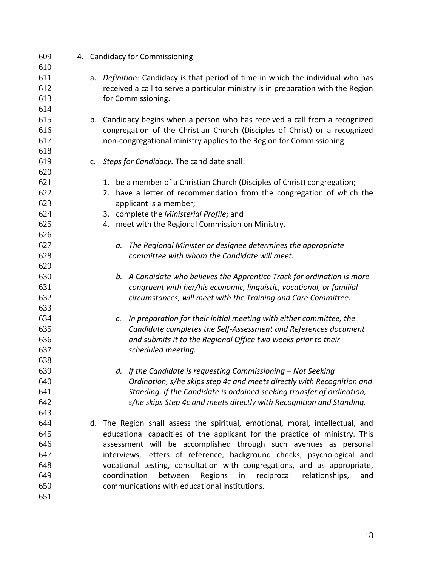| 609 |    | 4. Candidacy for Commissioning                                                   |
|-----|----|----------------------------------------------------------------------------------|
| 610 |    |                                                                                  |
| 611 |    | a. Definition: Candidacy is that period of time in which the individual who has  |
| 612 |    | received a call to serve a particular ministry is in preparation with the Region |
| 613 |    | for Commissioning.                                                               |
| 614 |    |                                                                                  |
| 615 |    | b. Candidacy begins when a person who has received a call from a recognized      |
| 616 |    | congregation of the Christian Church (Disciples of Christ) or a recognized       |
| 617 |    | non-congregational ministry applies to the Region for Commissioning.             |
| 618 |    |                                                                                  |
| 619 | c. | Steps for Candidacy. The candidate shall:                                        |
| 620 |    |                                                                                  |
| 621 |    | 1. be a member of a Christian Church (Disciples of Christ) congregation;         |
| 622 |    | 2. have a letter of recommendation from the congregation of which the            |
| 623 |    | applicant is a member;                                                           |
| 624 |    | 3. complete the Ministerial Profile; and                                         |
| 625 |    | 4. meet with the Regional Commission on Ministry.                                |
| 626 |    |                                                                                  |
| 627 |    | The Regional Minister or designee determines the appropriate<br>a.               |
| 628 |    | committee with whom the Candidate will meet.                                     |
| 629 |    |                                                                                  |
| 630 |    | b. A Candidate who believes the Apprentice Track for ordination is more          |
| 631 |    | congruent with her/his economic, linguistic, vocational, or familial             |
| 632 |    | circumstances, will meet with the Training and Care Committee.                   |
| 633 |    |                                                                                  |
| 634 |    | In preparation for their initial meeting with either committee, the<br>c.        |
| 635 |    | Candidate completes the Self-Assessment and References document                  |
| 636 |    | and submits it to the Regional Office two weeks prior to their                   |
| 637 |    | scheduled meeting.                                                               |
| 638 |    |                                                                                  |
| 639 |    | d. If the Candidate is requesting Commissioning - Not Seeking                    |
| 640 |    | Ordination, s/he skips step 4c and meets directly with Recognition and           |
| 641 |    | Standing. If the Candidate is ordained seeking transfer of ordination,           |
| 642 |    | s/he skips Step 4c and meets directly with Recognition and Standing.             |
| 643 |    |                                                                                  |
| 644 | d. | The Region shall assess the spiritual, emotional, moral, intellectual, and       |
| 645 |    | educational capacities of the applicant for the practice of ministry. This       |
| 646 |    | assessment will be accomplished through such avenues as personal                 |
| 647 |    | interviews, letters of reference, background checks, psychological and           |
| 648 |    | vocational testing, consultation with congregations, and as appropriate,         |
| 649 |    | coordination<br>Regions<br>between<br>reciprocal<br>in<br>relationships,<br>and  |
| 650 |    | communications with educational institutions.                                    |
| 651 |    |                                                                                  |
|     |    |                                                                                  |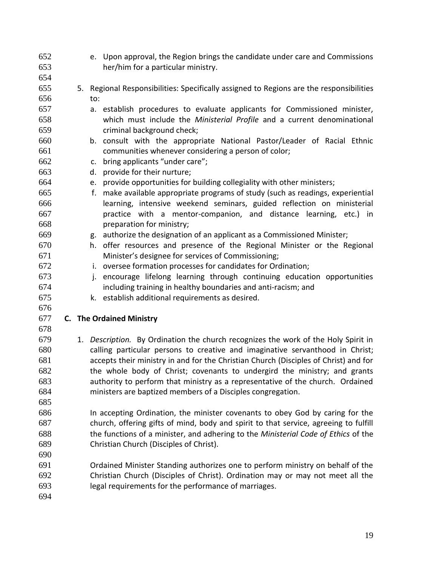e. Upon approval, the Region brings the candidate under care and Commissions her/him for a particular ministry. 5. Regional Responsibilities: Specifically assigned to Regions are the responsibilities to: a. establish procedures to evaluate applicants for Commissioned minister, which must include the *Ministerial Profile* and a current denominational criminal background check; b. consult with the appropriate National Pastor/Leader of Racial Ethnic communities whenever considering a person of color; c. bring applicants "under care"; d. provide for their nurture; e. provide opportunities for building collegiality with other ministers; f. make available appropriate programs of study (such as readings, experiential learning, intensive weekend seminars, guided reflection on ministerial practice with a mentor-companion, and distance learning, etc.) in preparation for ministry; g. authorize the designation of an applicant as a Commissioned Minister; h. offer resources and presence of the Regional Minister or the Regional Minister's designee for services of Commissioning; i. oversee formation processes for candidates for Ordination; j. encourage lifelong learning through continuing education opportunities including training in healthy boundaries and anti-racism; and k. establish additional requirements as desired. **C. The Ordained Ministry** 1. *Description.* By Ordination the church recognizes the work of the Holy Spirit in calling particular persons to creative and imaginative servanthood in Christ; accepts their ministry in and for the Christian Church (Disciples of Christ) and for the whole body of Christ; covenants to undergird the ministry; and grants authority to perform that ministry as a representative of the church. Ordained ministers are baptized members of a Disciples congregation. In accepting Ordination, the minister covenants to obey God by caring for the church, offering gifts of mind, body and spirit to that service, agreeing to fulfill the functions of a minister, and adhering to the *Ministerial Code of Ethics* of the Christian Church (Disciples of Christ). Ordained Minister Standing authorizes one to perform ministry on behalf of the Christian Church (Disciples of Christ). Ordination may or may not meet all the legal requirements for the performance of marriages.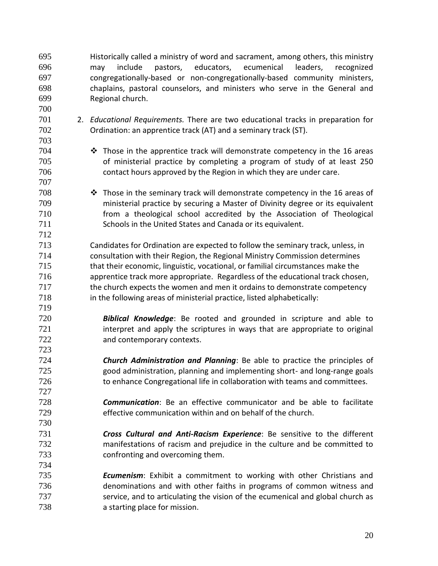Historically called a ministry of word and sacrament, among others, this ministry may include pastors, educators, ecumenical leaders, recognized congregationally-based or non-congregationally-based community ministers, chaplains, pastoral counselors, and ministers who serve in the General and Regional church.

 2. *Educational Requirements.* There are two educational tracks in preparation for Ordination: an apprentice track (AT) and a seminary track (ST).

- **•** Those in the apprentice track will demonstrate competency in the 16 areas of ministerial practice by completing a program of study of at least 250 contact hours approved by the Region in which they are under care.
- **••** Those in the seminary track will demonstrate competency in the 16 areas of ministerial practice by securing a Master of Divinity degree or its equivalent from a theological school accredited by the Association of Theological Schools in the United States and Canada or its equivalent.
- Candidates for Ordination are expected to follow the seminary track, unless, in consultation with their Region, the Regional Ministry Commission determines that their economic, linguistic, vocational, or familial circumstances make the apprentice track more appropriate. Regardless of the educational track chosen, the church expects the women and men it ordains to demonstrate competency in the following areas of ministerial practice, listed alphabetically:
- *Biblical Knowledge*: Be rooted and grounded in scripture and able to 721 interpret and apply the scriptures in ways that are appropriate to original and contemporary contexts.
- *Church Administration and Planning*: Be able to practice the principles of good administration, planning and implementing short- and long-range goals to enhance Congregational life in collaboration with teams and committees.
- *Communication*: Be an effective communicator and be able to facilitate effective communication within and on behalf of the church.
- *Cross Cultural and Anti-Racism Experience*: Be sensitive to the different manifestations of racism and prejudice in the culture and be committed to confronting and overcoming them.
- *Ecumenism*: Exhibit a commitment to working with other Christians and denominations and with other faiths in programs of common witness and service, and to articulating the vision of the ecumenical and global church as a starting place for mission.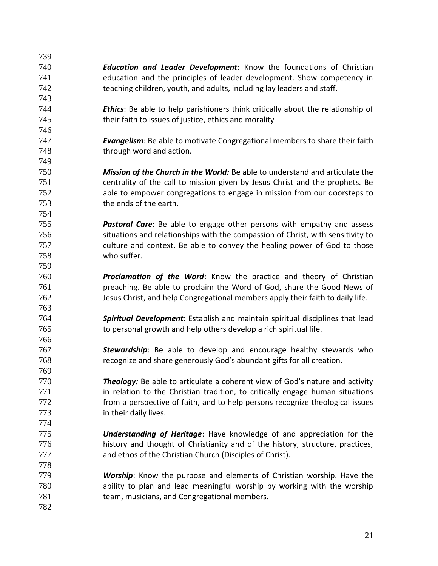*Education and Leader Development*: Know the foundations of Christian education and the principles of leader development. Show competency in teaching children, youth, and adults, including lay leaders and staff. *Ethics*: Be able to help parishioners think critically about the relationship of their faith to issues of justice, ethics and morality *Evangelism*: Be able to motivate Congregational members to share their faith 748 through word and action. *Mission of the Church in the World:* Be able to understand and articulate the centrality of the call to mission given by Jesus Christ and the prophets. Be able to empower congregations to engage in mission from our doorsteps to the ends of the earth. *Pastoral Care*: Be able to engage other persons with empathy and assess situations and relationships with the compassion of Christ, with sensitivity to culture and context. Be able to convey the healing power of God to those who suffer. *Proclamation of the Word*: Know the practice and theory of Christian preaching. Be able to proclaim the Word of God, share the Good News of Jesus Christ, and help Congregational members apply their faith to daily life. *Spiritual Development*: Establish and maintain spiritual disciplines that lead to personal growth and help others develop a rich spiritual life. *Stewardship*: Be able to develop and encourage healthy stewards who recognize and share generously God's abundant gifts for all creation. *Theology:* Be able to articulate a coherent view of God's nature and activity 771 in relation to the Christian tradition, to critically engage human situations from a perspective of faith, and to help persons recognize theological issues in their daily lives. *Understanding of Heritage*: Have knowledge of and appreciation for the history and thought of Christianity and of the history, structure, practices, and ethos of the Christian Church (Disciples of Christ). *Worship*: Know the purpose and elements of Christian worship. Have the ability to plan and lead meaningful worship by working with the worship team, musicians, and Congregational members.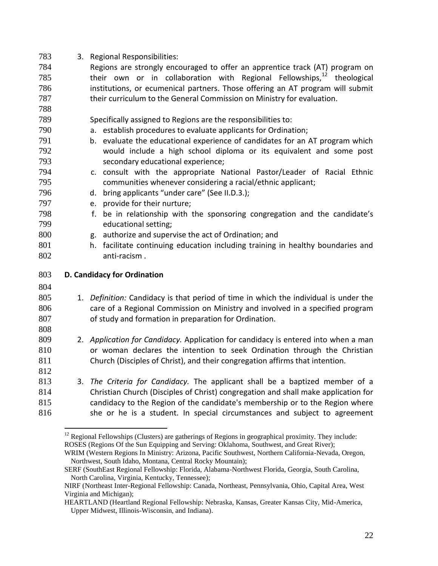| 783 | 3. Regional Responsibilities:                                                        |
|-----|--------------------------------------------------------------------------------------|
| 784 | Regions are strongly encouraged to offer an apprentice track (AT) program on         |
| 785 | their own or in collaboration with Regional Fellowships, <sup>12</sup> theological   |
| 786 | institutions, or ecumenical partners. Those offering an AT program will submit       |
| 787 | their curriculum to the General Commission on Ministry for evaluation.               |
| 788 |                                                                                      |
| 789 | Specifically assigned to Regions are the responsibilities to:                        |
| 790 | a. establish procedures to evaluate applicants for Ordination;                       |
| 791 | b. evaluate the educational experience of candidates for an AT program which         |
| 792 | would include a high school diploma or its equivalent and some post                  |
| 793 | secondary educational experience;                                                    |
| 794 | c. consult with the appropriate National Pastor/Leader of Racial Ethnic              |
| 795 | communities whenever considering a racial/ethnic applicant;                          |
| 796 | bring applicants "under care" (See II.D.3.);<br>d.                                   |
| 797 | e. provide for their nurture;                                                        |
| 798 | be in relationship with the sponsoring congregation and the candidate's<br>f.        |
| 799 | educational setting;                                                                 |
| 800 | authorize and supervise the act of Ordination; and<br>g.                             |
| 801 | facilitate continuing education including training in healthy boundaries and<br>h.   |
| 802 | anti-racism.                                                                         |
| 803 | D. Candidacy for Ordination                                                          |
| 804 |                                                                                      |
| 805 | 1. Definition: Candidacy is that period of time in which the individual is under the |
| 806 | care of a Regional Commission on Ministry and involved in a specified program        |
| 807 | of study and formation in preparation for Ordination.                                |
| 808 |                                                                                      |
| 809 | 2. Application for Candidacy. Application for candidacy is entered into when a man   |
| 810 | or woman declares the intention to seek Ordination through the Christian             |
| 811 | Church (Disciples of Christ), and their congregation affirms that intention.         |
| 812 |                                                                                      |
| 813 | 3. The Criteria for Candidacy. The applicant shall be a baptized member of a         |
| 814 | Christian Church (Disciples of Christ) congregation and shall make application for   |
| 815 | candidacy to the Region of the candidate's membership or to the Region where         |
|     |                                                                                      |
| 816 | she or he is a student. In special circumstances and subject to agreement            |

 Regional Fellowships (Clusters) are gatherings of Regions in geographical proximity. They include: ROSES (Regions Of the Sun Equipping and Serving: Oklahoma, Southwest, and Great River);

 $\overline{a}$ 

WRIM (Western Regions In Ministry: Arizona, Pacific Southwest, Northern California-Nevada, Oregon, Northwest, South Idaho, Montana, Central Rocky Mountain);

SERF (SouthEast Regional Fellowship: Florida, Alabama-Northwest Florida, Georgia, South Carolina, North Carolina, Virginia, Kentucky, Tennessee);

NIRF (Northeast Inter-Regional Fellowship: Canada, Northeast, Pennsylvania, Ohio, Capital Area, West Virginia and Michigan);

HEARTLAND (Heartland Regional Fellowship: Nebraska, Kansas, Greater Kansas City, Mid-America, Upper Midwest, Illinois-Wisconsin, and Indiana).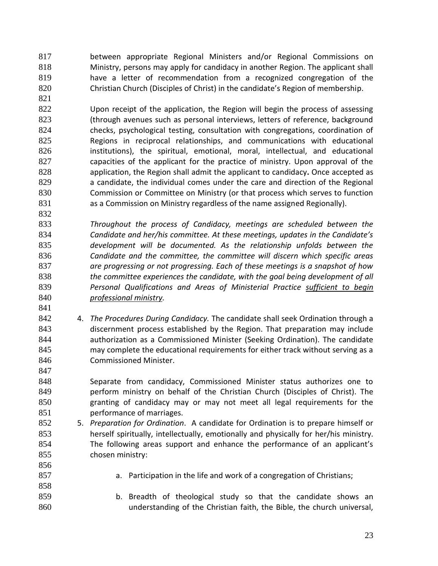between appropriate Regional Ministers and/or Regional Commissions on Ministry, persons may apply for candidacy in another Region. The applicant shall have a letter of recommendation from a recognized congregation of the Christian Church (Disciples of Christ) in the candidate's Region of membership.

 Upon receipt of the application, the Region will begin the process of assessing (through avenues such as personal interviews, letters of reference, background checks, psychological testing, consultation with congregations, coordination of Regions in reciprocal relationships, and communications with educational institutions), the spiritual, emotional, moral, intellectual, and educational capacities of the applicant for the practice of ministry. Upon approval of the application, the Region shall admit the applicant to candidacy**.** Once accepted as 829 a candidate, the individual comes under the care and direction of the Regional Commission or Committee on Ministry (or that process which serves to function as a Commission on Ministry regardless of the name assigned Regionally).

 *Throughout the process of Candidacy, meetings are scheduled between the Candidate and her/his committee. At these meetings, updates in the Candidate's development will be documented. As the relationship unfolds between the Candidate and the committee, the committee will discern which specific areas are progressing or not progressing. Each of these meetings is a snapshot of how the committee experiences the candidate, with the goal being development of all Personal Qualifications and Areas of Ministerial Practice sufficient to begin professional ministry.*

 4. *The Procedures During Candidacy.* The candidate shall seek Ordination through a discernment process established by the Region. That preparation may include authorization as a Commissioned Minister (Seeking Ordination). The candidate may complete the educational requirements for either track without serving as a Commissioned Minister.

 Separate from candidacy, Commissioned Minister status authorizes one to 849 perform ministry on behalf of the Christian Church (Disciples of Christ). The granting of candidacy may or may not meet all legal requirements for the performance of marriages.

- 5. *Preparation for Ordination*. A candidate for Ordination is to prepare himself or herself spiritually, intellectually, emotionally and physically for her/his ministry. The following areas support and enhance the performance of an applicant's chosen ministry:
- a. Participation in the life and work of a congregation of Christians;
- b. Breadth of theological study so that the candidate shows an understanding of the Christian faith, the Bible, the church universal,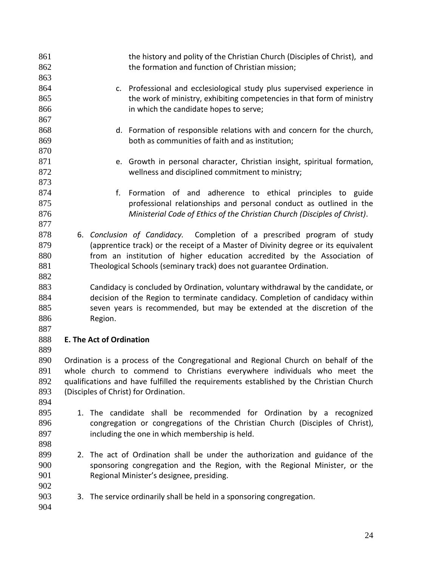| 861<br>862 |                                 | the history and polity of the Christian Church (Disciples of Christ), and<br>the formation and function of Christian mission; |
|------------|---------------------------------|-------------------------------------------------------------------------------------------------------------------------------|
| 863        |                                 |                                                                                                                               |
| 864        |                                 | c. Professional and ecclesiological study plus supervised experience in                                                       |
| 865        |                                 | the work of ministry, exhibiting competencies in that form of ministry                                                        |
| 866        |                                 | in which the candidate hopes to serve;                                                                                        |
| 867        |                                 |                                                                                                                               |
| 868        |                                 | d. Formation of responsible relations with and concern for the church,                                                        |
| 869        |                                 | both as communities of faith and as institution;                                                                              |
| 870        |                                 |                                                                                                                               |
| 871        |                                 | e. Growth in personal character, Christian insight, spiritual formation,                                                      |
| 872        |                                 | wellness and disciplined commitment to ministry;                                                                              |
| 873        |                                 |                                                                                                                               |
| 874        | f.                              | Formation of and adherence to ethical principles to guide                                                                     |
| 875        |                                 | professional relationships and personal conduct as outlined in the                                                            |
| 876        |                                 | Ministerial Code of Ethics of the Christian Church (Disciples of Christ).                                                     |
| 877        |                                 |                                                                                                                               |
| 878        |                                 | Completion of a prescribed program of study<br>6. Conclusion of Candidacy.                                                    |
| 879        |                                 | (apprentice track) or the receipt of a Master of Divinity degree or its equivalent                                            |
| 880        |                                 | from an institution of higher education accredited by the Association of                                                      |
| 881        |                                 | Theological Schools (seminary track) does not guarantee Ordination.                                                           |
| 882        |                                 |                                                                                                                               |
| 883        |                                 | Candidacy is concluded by Ordination, voluntary withdrawal by the candidate, or                                               |
| 884        |                                 | decision of the Region to terminate candidacy. Completion of candidacy within                                                 |
| 885        |                                 | seven years is recommended, but may be extended at the discretion of the                                                      |
| 886        | Region.                         |                                                                                                                               |
| 887        |                                 |                                                                                                                               |
| 888        | <b>E. The Act of Ordination</b> |                                                                                                                               |
| 889        |                                 |                                                                                                                               |
| 890        |                                 | Ordination is a process of the Congregational and Regional Church on behalf of the                                            |
| 891        |                                 | whole church to commend to Christians everywhere individuals who meet the                                                     |
| 892        |                                 | qualifications and have fulfilled the requirements established by the Christian Church                                        |
| 893        |                                 | (Disciples of Christ) for Ordination.                                                                                         |
| 894        |                                 |                                                                                                                               |
| 895        |                                 | 1. The candidate shall be recommended for Ordination by a recognized                                                          |
| 896        |                                 | congregation or congregations of the Christian Church (Disciples of Christ),                                                  |
| 897        |                                 | including the one in which membership is held.                                                                                |
| 898        |                                 |                                                                                                                               |
| 899        |                                 | 2. The act of Ordination shall be under the authorization and guidance of the                                                 |
| 900        |                                 | sponsoring congregation and the Region, with the Regional Minister, or the                                                    |
| 901        |                                 | Regional Minister's designee, presiding.                                                                                      |
| 902        |                                 |                                                                                                                               |
| 903        |                                 |                                                                                                                               |
| 904        |                                 | 3. The service ordinarily shall be held in a sponsoring congregation.                                                         |
|            |                                 |                                                                                                                               |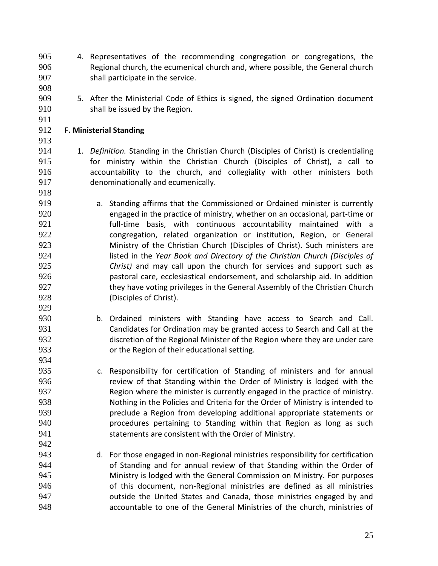- 4. Representatives of the recommending congregation or congregations, the Regional church, the ecumenical church and, where possible, the General church shall participate in the service.
- 5. After the Ministerial Code of Ethics is signed, the signed Ordination document shall be issued by the Region.

# **F. Ministerial Standing**

- 1. *Definition.* Standing in the Christian Church (Disciples of Christ) is credentialing for ministry within the Christian Church (Disciples of Christ), a call to accountability to the church, and collegiality with other ministers both denominationally and ecumenically.
- a. Standing affirms that the Commissioned or Ordained minister is currently engaged in the practice of ministry, whether on an occasional, part-time or full-time basis, with continuous accountability maintained with a congregation, related organization or institution, Region, or General Ministry of the Christian Church (Disciples of Christ). Such ministers are listed in the *Year Book and Directory of the Christian Church (Disciples of Christ)* and may call upon the church for services and support such as pastoral care, ecclesiastical endorsement, and scholarship aid. In addition they have voting privileges in the General Assembly of the Christian Church (Disciples of Christ).
- b. Ordained ministers with Standing have access to Search and Call. Candidates for Ordination may be granted access to Search and Call at the discretion of the Regional Minister of the Region where they are under care or the Region of their educational setting.
- c. Responsibility for certification of Standing of ministers and for annual review of that Standing within the Order of Ministry is lodged with the Region where the minister is currently engaged in the practice of ministry. Nothing in the Policies and Criteria for the Order of Ministry is intended to preclude a Region from developing additional appropriate statements or procedures pertaining to Standing within that Region as long as such statements are consistent with the Order of Ministry.
- d. For those engaged in non-Regional ministries responsibility for certification of Standing and for annual review of that Standing within the Order of Ministry is lodged with the General Commission on Ministry. For purposes of this document, non-Regional ministries are defined as all ministries outside the United States and Canada, those ministries engaged by and accountable to one of the General Ministries of the church, ministries of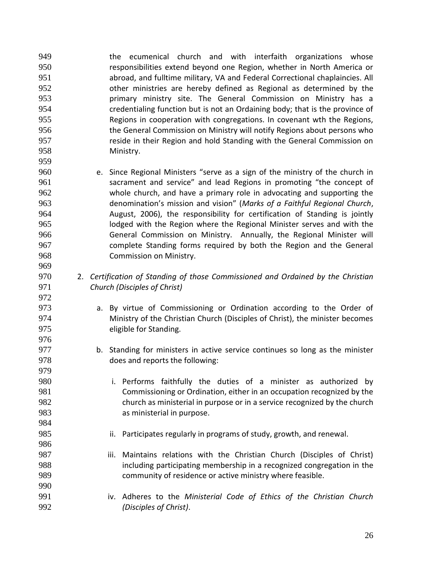**the ecumenical church and with interfaith organizations whose**  responsibilities extend beyond one Region, whether in North America or abroad, and fulltime military, VA and Federal Correctional chaplaincies. All other ministries are hereby defined as Regional as determined by the primary ministry site. The General Commission on Ministry has a credentialing function but is not an Ordaining body; that is the province of Regions in cooperation with congregations. In covenant wth the Regions, the General Commission on Ministry will notify Regions about persons who reside in their Region and hold Standing with the General Commission on Ministry. 

 e. Since Regional Ministers "serve as a sign of the ministry of the church in sacrament and service" and lead Regions in promoting "the concept of whole church, and have a primary role in advocating and supporting the denomination's mission and vision" (*Marks of a Faithful Regional Church*, August, 2006), the responsibility for certification of Standing is jointly lodged with the Region where the Regional Minister serves and with the General Commission on Ministry. Annually, the Regional Minister will complete Standing forms required by both the Region and the General Commission on Ministry.

- 2. *Certification of Standing of those Commissioned and Ordained by the Christian Church (Disciples of Christ)*
- a. By virtue of Commissioning or Ordination according to the Order of Ministry of the Christian Church (Disciples of Christ), the minister becomes eligible for Standing.
- b. Standing for ministers in active service continues so long as the minister does and reports the following:
- i. Performs faithfully the duties of a minister as authorized by Commissioning or Ordination, either in an occupation recognized by the church as ministerial in purpose or in a service recognized by the church as ministerial in purpose.
- 985 ii. Participates regularly in programs of study, growth, and renewal.
- iii. Maintains relations with the Christian Church (Disciples of Christ) including participating membership in a recognized congregation in the community of residence or active ministry where feasible.
- iv. Adheres to the *Ministerial Code of Ethics of the Christian Church (Disciples of Christ)*.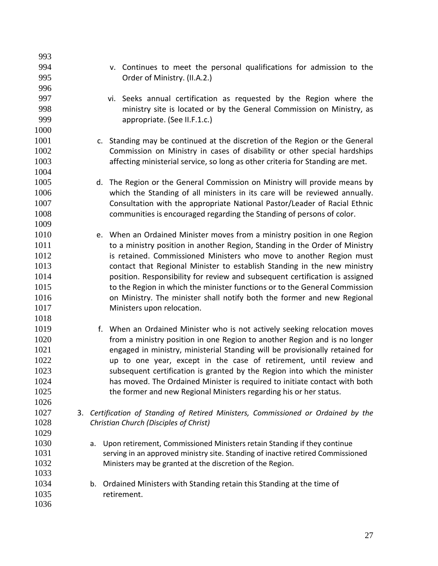| 993  |    |                                                                                 |
|------|----|---------------------------------------------------------------------------------|
| 994  |    | v. Continues to meet the personal qualifications for admission to the           |
| 995  |    | Order of Ministry. (II.A.2.)                                                    |
| 996  |    |                                                                                 |
| 997  |    | vi. Seeks annual certification as requested by the Region where the             |
| 998  |    | ministry site is located or by the General Commission on Ministry, as           |
| 999  |    | appropriate. (See II.F.1.c.)                                                    |
| 1000 |    |                                                                                 |
| 1001 |    | c. Standing may be continued at the discretion of the Region or the General     |
| 1002 |    | Commission on Ministry in cases of disability or other special hardships        |
| 1003 |    | affecting ministerial service, so long as other criteria for Standing are met.  |
| 1004 |    |                                                                                 |
| 1005 |    | d. The Region or the General Commission on Ministry will provide means by       |
| 1006 |    | which the Standing of all ministers in its care will be reviewed annually.      |
| 1007 |    | Consultation with the appropriate National Pastor/Leader of Racial Ethnic       |
| 1008 |    | communities is encouraged regarding the Standing of persons of color.           |
| 1009 |    |                                                                                 |
| 1010 |    | e. When an Ordained Minister moves from a ministry position in one Region       |
| 1011 |    | to a ministry position in another Region, Standing in the Order of Ministry     |
| 1012 |    | is retained. Commissioned Ministers who move to another Region must             |
| 1013 |    | contact that Regional Minister to establish Standing in the new ministry        |
| 1014 |    | position. Responsibility for review and subsequent certification is assigned    |
| 1015 |    | to the Region in which the minister functions or to the General Commission      |
| 1016 |    | on Ministry. The minister shall notify both the former and new Regional         |
| 1017 |    | Ministers upon relocation.                                                      |
| 1018 |    |                                                                                 |
| 1019 |    | f. When an Ordained Minister who is not actively seeking relocation moves       |
| 1020 |    | from a ministry position in one Region to another Region and is no longer       |
| 1021 |    | engaged in ministry, ministerial Standing will be provisionally retained for    |
| 1022 |    | up to one year, except in the case of retirement, until review and              |
| 1023 |    | subsequent certification is granted by the Region into which the minister       |
| 1024 |    | has moved. The Ordained Minister is required to initiate contact with both      |
| 1025 |    | the former and new Regional Ministers regarding his or her status.              |
| 1026 |    |                                                                                 |
| 1027 | 3. | Certification of Standing of Retired Ministers, Commissioned or Ordained by the |
| 1028 |    | Christian Church (Disciples of Christ)                                          |
| 1029 |    |                                                                                 |
| 1030 |    | Upon retirement, Commissioned Ministers retain Standing if they continue<br>a.  |
| 1031 |    | serving in an approved ministry site. Standing of inactive retired Commissioned |
| 1032 |    | Ministers may be granted at the discretion of the Region.                       |
| 1033 |    |                                                                                 |
| 1034 |    | Ordained Ministers with Standing retain this Standing at the time of<br>b.      |
| 1035 |    | retirement.                                                                     |
| 1036 |    |                                                                                 |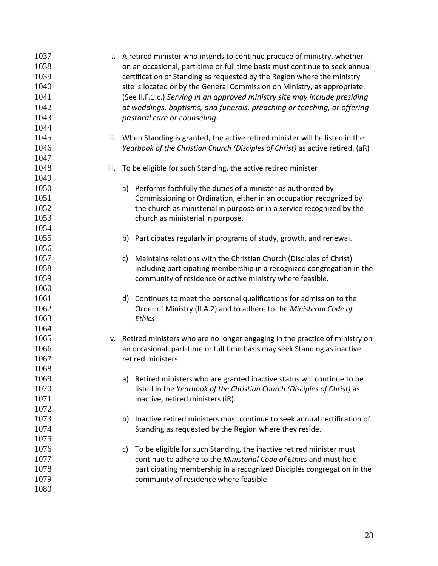| 1037 |      | <i>i.</i> A retired minister who intends to continue practice of ministry, whether |
|------|------|------------------------------------------------------------------------------------|
| 1038 |      | on an occasional, part-time or full time basis must continue to seek annual        |
| 1039 |      | certification of Standing as requested by the Region where the ministry            |
| 1040 |      | site is located or by the General Commission on Ministry, as appropriate.          |
| 1041 |      | (See II.F.1.c.) Serving in an approved ministry site may include presiding         |
| 1042 |      | at weddings, baptisms, and funerals, preaching or teaching, or offering            |
| 1043 |      | pastoral care or counseling.                                                       |
| 1044 |      |                                                                                    |
| 1045 |      | ii. When Standing is granted, the active retired minister will be listed in the    |
| 1046 |      | Yearbook of the Christian Church (Disciples of Christ) as active retired. (aR)     |
| 1047 |      |                                                                                    |
| 1048 | iii. | To be eligible for such Standing, the active retired minister                      |
| 1049 |      |                                                                                    |
| 1050 |      | a) Performs faithfully the duties of a minister as authorized by                   |
| 1051 |      | Commissioning or Ordination, either in an occupation recognized by                 |
| 1052 |      | the church as ministerial in purpose or in a service recognized by the             |
| 1053 |      | church as ministerial in purpose.                                                  |
| 1054 |      |                                                                                    |
| 1055 |      | Participates regularly in programs of study, growth, and renewal.<br>b)            |
| 1056 |      |                                                                                    |
| 1057 |      | Maintains relations with the Christian Church (Disciples of Christ)<br>c)          |
| 1058 |      | including participating membership in a recognized congregation in the             |
| 1059 |      | community of residence or active ministry where feasible.                          |
| 1060 |      |                                                                                    |
| 1061 |      | Continues to meet the personal qualifications for admission to the<br>d)           |
| 1062 |      | Order of Ministry (II.A.2) and to adhere to the Ministerial Code of                |
| 1063 |      | Ethics                                                                             |
| 1064 |      |                                                                                    |
| 1065 |      | iv. Retired ministers who are no longer engaging in the practice of ministry on    |
| 1066 |      | an occasional, part-time or full time basis may seek Standing as inactive          |
| 1067 |      | retired ministers.                                                                 |
| 1068 |      |                                                                                    |
| 1069 |      | Retired ministers who are granted inactive status will continue to be<br>a)        |
| 1070 |      | listed in the Yearbook of the Christian Church (Disciples of Christ) as            |
| 1071 |      | inactive, retired ministers (iR).                                                  |
| 1072 |      |                                                                                    |
| 1073 |      | Inactive retired ministers must continue to seek annual certification of<br>b)     |
| 1074 |      | Standing as requested by the Region where they reside.                             |
| 1075 |      |                                                                                    |
| 1076 |      | To be eligible for such Standing, the inactive retired minister must<br>C)         |
| 1077 |      | continue to adhere to the Ministerial Code of Ethics and must hold                 |
| 1078 |      | participating membership in a recognized Disciples congregation in the             |
| 1079 |      | community of residence where feasible.                                             |
| 1080 |      |                                                                                    |
|      |      |                                                                                    |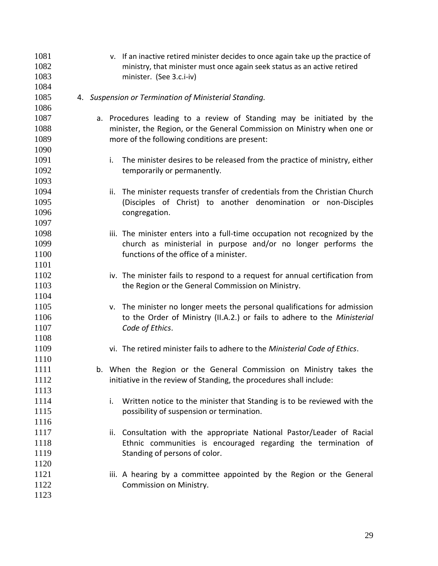v. If an inactive retired minister decides to once again take up the practice of ministry, that minister must once again seek status as an active retired minister. (See 3.c.i-iv) 4. *Suspension or Termination of Ministerial Standing.* a. Procedures leading to a review of Standing may be initiated by the minister, the Region, or the General Commission on Ministry when one or more of the following conditions are present: i. The minister desires to be released from the practice of ministry, either 1092 temporarily or permanently. ii. The minister requests transfer of credentials from the Christian Church (Disciples of Christ) to another denomination or non-Disciples 1096 congregation. iii. The minister enters into a full-time occupation not recognized by the church as ministerial in purpose and/or no longer performs the functions of the office of a minister. 1102 iv. The minister fails to respond to a request for annual certification from 1103 the Region or the General Commission on Ministry. v. The minister no longer meets the personal qualifications for admission to the Order of Ministry (II.A.2.) or fails to adhere to the *Ministerial Code of Ethics*. vi. The retired minister fails to adhere to the *Ministerial Code of Ethics*. b. When the Region or the General Commission on Ministry takes the 1112 initiative in the review of Standing, the procedures shall include: 1114 i. Written notice to the minister that Standing is to be reviewed with the **possibility of suspension or termination.**  1117 ii. Consultation with the appropriate National Pastor/Leader of Racial Ethnic communities is encouraged regarding the termination of 1119 Standing of persons of color. **iii.** A hearing by a committee appointed by the Region or the General Commission on Ministry.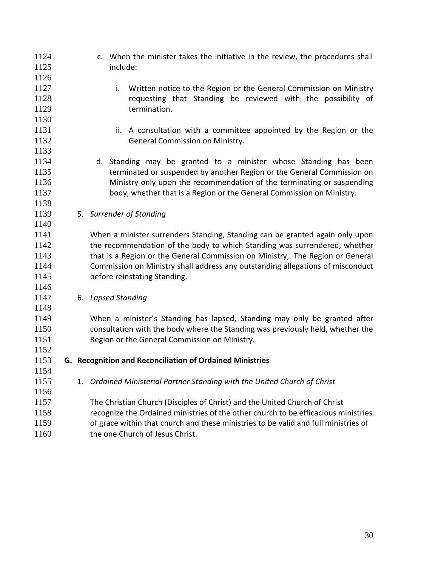| 1124<br>1125 |  | c. When the minister takes the initiative in the review, the procedures shall<br>include: |
|--------------|--|-------------------------------------------------------------------------------------------|
| 1126         |  |                                                                                           |
| 1127         |  | Written notice to the Region or the General Commission on Ministry<br>i.                  |
| 1128         |  | requesting that Standing be reviewed with the possibility of                              |
| 1129         |  | termination.                                                                              |
| 1130         |  |                                                                                           |
| 1131         |  | ii. A consultation with a committee appointed by the Region or the                        |
| 1132         |  | General Commission on Ministry.                                                           |
| 1133         |  |                                                                                           |
| 1134         |  | d. Standing may be granted to a minister whose Standing has been                          |
| 1135         |  | terminated or suspended by another Region or the General Commission on                    |
| 1136         |  | Ministry only upon the recommendation of the terminating or suspending                    |
| 1137         |  | body, whether that is a Region or the General Commission on Ministry.                     |
| 1138         |  |                                                                                           |
| 1139         |  | 5. Surrender of Standing                                                                  |
| 1140         |  |                                                                                           |
| 1141         |  | When a minister surrenders Standing, Standing can be granted again only upon              |
| 1142         |  | the recommendation of the body to which Standing was surrendered, whether                 |
| 1143         |  | that is a Region or the General Commission on Ministry,. The Region or General            |
| 1144         |  | Commission on Ministry shall address any outstanding allegations of misconduct            |
| 1145         |  | before reinstating Standing.                                                              |
| 1146         |  |                                                                                           |
| 1147         |  | 6. Lapsed Standing                                                                        |
| 1148         |  |                                                                                           |
| 1149         |  | When a minister's Standing has lapsed, Standing may only be granted after                 |
| 1150         |  | consultation with the body where the Standing was previously held, whether the            |
| 1151         |  | Region or the General Commission on Ministry.                                             |
| 1152         |  |                                                                                           |
| 1153         |  | G. Recognition and Reconciliation of Ordained Ministries                                  |
| 1154         |  |                                                                                           |
| 1155         |  | 1. Ordained Ministerial Partner Standing with the United Church of Christ                 |
| 1156         |  |                                                                                           |
| 1157         |  | The Christian Church (Disciples of Christ) and the United Church of Christ                |
| 1158         |  | recognize the Ordained ministries of the other church to be efficacious ministries        |
| 1159         |  | of grace within that church and these ministries to be valid and full ministries of       |
| 1160         |  | the one Church of Jesus Christ.                                                           |
|              |  |                                                                                           |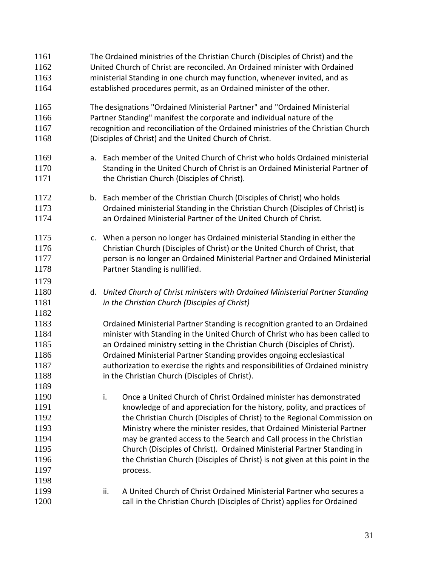The Ordained ministries of the Christian Church (Disciples of Christ) and the United Church of Christ are reconciled. An Ordained minister with Ordained ministerial Standing in one church may function, whenever invited, and as established procedures permit, as an Ordained minister of the other. The designations "Ordained Ministerial Partner" and "Ordained Ministerial Partner Standing" manifest the corporate and individual nature of the recognition and reconciliation of the Ordained ministries of the Christian Church (Disciples of Christ) and the United Church of Christ. a. Each member of the United Church of Christ who holds Ordained ministerial Standing in the United Church of Christ is an Ordained Ministerial Partner of **the Christian Church (Disciples of Christ).**  b. Each member of the Christian Church (Disciples of Christ) who holds Ordained ministerial Standing in the Christian Church (Disciples of Christ) is an Ordained Ministerial Partner of the United Church of Christ. c. When a person no longer has Ordained ministerial Standing in either the Christian Church (Disciples of Christ) or the United Church of Christ, that person is no longer an Ordained Ministerial Partner and Ordained Ministerial Partner Standing is nullified. d. *United Church of Christ ministers with Ordained Ministerial Partner Standing in the Christian Church (Disciples of Christ)* Ordained Ministerial Partner Standing is recognition granted to an Ordained minister with Standing in the United Church of Christ who has been called to an Ordained ministry setting in the Christian Church (Disciples of Christ). Ordained Ministerial Partner Standing provides ongoing ecclesiastical authorization to exercise the rights and responsibilities of Ordained ministry in the Christian Church (Disciples of Christ). i. Once a United Church of Christ Ordained minister has demonstrated knowledge of and appreciation for the history, polity, and practices of the Christian Church (Disciples of Christ) to the Regional Commission on Ministry where the minister resides, that Ordained Ministerial Partner may be granted access to the Search and Call process in the Christian Church (Disciples of Christ). Ordained Ministerial Partner Standing in the Christian Church (Disciples of Christ) is not given at this point in the 1197 process. ii. A United Church of Christ Ordained Ministerial Partner who secures a call in the Christian Church (Disciples of Christ) applies for Ordained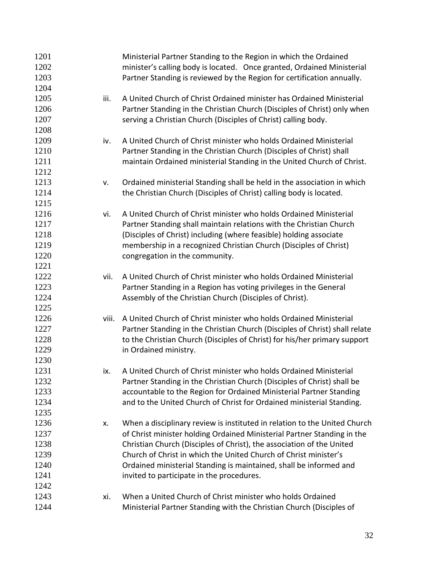| 1201 |       | Ministerial Partner Standing to the Region in which the Ordained            |
|------|-------|-----------------------------------------------------------------------------|
| 1202 |       | minister's calling body is located. Once granted, Ordained Ministerial      |
| 1203 |       | Partner Standing is reviewed by the Region for certification annually.      |
| 1204 |       |                                                                             |
| 1205 | iii.  | A United Church of Christ Ordained minister has Ordained Ministerial        |
| 1206 |       | Partner Standing in the Christian Church (Disciples of Christ) only when    |
| 1207 |       | serving a Christian Church (Disciples of Christ) calling body.              |
| 1208 |       |                                                                             |
| 1209 | iv.   | A United Church of Christ minister who holds Ordained Ministerial           |
| 1210 |       | Partner Standing in the Christian Church (Disciples of Christ) shall        |
| 1211 |       | maintain Ordained ministerial Standing in the United Church of Christ.      |
| 1212 |       |                                                                             |
| 1213 | V.    | Ordained ministerial Standing shall be held in the association in which     |
| 1214 |       | the Christian Church (Disciples of Christ) calling body is located.         |
| 1215 |       |                                                                             |
| 1216 | vi.   | A United Church of Christ minister who holds Ordained Ministerial           |
| 1217 |       | Partner Standing shall maintain relations with the Christian Church         |
| 1218 |       | (Disciples of Christ) including (where feasible) holding associate          |
| 1219 |       | membership in a recognized Christian Church (Disciples of Christ)           |
| 1220 |       | congregation in the community.                                              |
| 1221 |       |                                                                             |
| 1222 | vii.  | A United Church of Christ minister who holds Ordained Ministerial           |
| 1223 |       | Partner Standing in a Region has voting privileges in the General           |
| 1224 |       | Assembly of the Christian Church (Disciples of Christ).                     |
| 1225 |       |                                                                             |
| 1226 | viii. | A United Church of Christ minister who holds Ordained Ministerial           |
| 1227 |       | Partner Standing in the Christian Church (Disciples of Christ) shall relate |
| 1228 |       | to the Christian Church (Disciples of Christ) for his/her primary support   |
| 1229 |       | in Ordained ministry.                                                       |
| 1230 |       |                                                                             |
| 1231 | ix.   | A United Church of Christ minister who holds Ordained Ministerial           |
| 1232 |       | Partner Standing in the Christian Church (Disciples of Christ) shall be     |
| 1233 |       | accountable to the Region for Ordained Ministerial Partner Standing         |
| 1234 |       | and to the United Church of Christ for Ordained ministerial Standing.       |
| 1235 |       |                                                                             |
| 1236 |       | When a disciplinary review is instituted in relation to the United Church   |
| 1237 | х.    | of Christ minister holding Ordained Ministerial Partner Standing in the     |
| 1238 |       | Christian Church (Disciples of Christ), the association of the United       |
| 1239 |       | Church of Christ in which the United Church of Christ minister's            |
|      |       |                                                                             |
| 1240 |       | Ordained ministerial Standing is maintained, shall be informed and          |
| 1241 |       | invited to participate in the procedures.                                   |
| 1242 |       |                                                                             |
| 1243 | xi.   | When a United Church of Christ minister who holds Ordained                  |
| 1244 |       | Ministerial Partner Standing with the Christian Church (Disciples of        |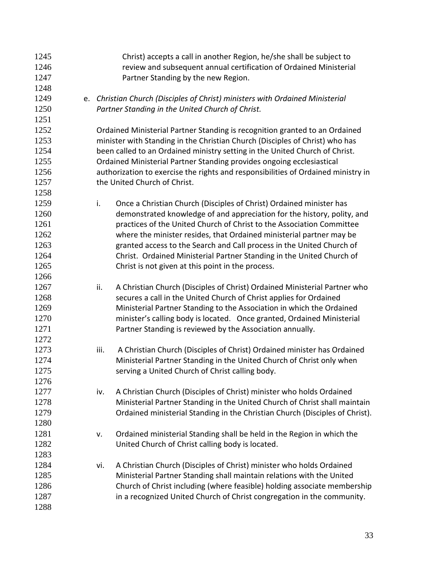| 1245 | Christ) accepts a call in another Region, he/she shall be subject to              |
|------|-----------------------------------------------------------------------------------|
| 1246 | review and subsequent annual certification of Ordained Ministerial                |
| 1247 | Partner Standing by the new Region.                                               |
| 1248 |                                                                                   |
| 1249 | e. Christian Church (Disciples of Christ) ministers with Ordained Ministerial     |
| 1250 | Partner Standing in the United Church of Christ.                                  |
| 1251 |                                                                                   |
| 1252 | Ordained Ministerial Partner Standing is recognition granted to an Ordained       |
| 1253 | minister with Standing in the Christian Church (Disciples of Christ) who has      |
| 1254 | been called to an Ordained ministry setting in the United Church of Christ.       |
| 1255 | Ordained Ministerial Partner Standing provides ongoing ecclesiastical             |
| 1256 | authorization to exercise the rights and responsibilities of Ordained ministry in |
| 1257 | the United Church of Christ.                                                      |
| 1258 |                                                                                   |
| 1259 | i.<br>Once a Christian Church (Disciples of Christ) Ordained minister has         |
| 1260 | demonstrated knowledge of and appreciation for the history, polity, and           |
| 1261 | practices of the United Church of Christ to the Association Committee             |
| 1262 | where the minister resides, that Ordained ministerial partner may be              |
| 1263 | granted access to the Search and Call process in the United Church of             |
| 1264 | Christ. Ordained Ministerial Partner Standing in the United Church of             |
| 1265 | Christ is not given at this point in the process.                                 |
| 1266 |                                                                                   |
| 1267 | A Christian Church (Disciples of Christ) Ordained Ministerial Partner who<br>ii.  |
| 1268 | secures a call in the United Church of Christ applies for Ordained                |
| 1269 | Ministerial Partner Standing to the Association in which the Ordained             |
| 1270 | minister's calling body is located. Once granted, Ordained Ministerial            |
| 1271 | Partner Standing is reviewed by the Association annually.                         |
| 1272 |                                                                                   |
| 1273 | A Christian Church (Disciples of Christ) Ordained minister has Ordained<br>iii.   |
| 1274 | Ministerial Partner Standing in the United Church of Christ only when             |
| 1275 | serving a United Church of Christ calling body.                                   |
| 1276 |                                                                                   |
| 1277 | A Christian Church (Disciples of Christ) minister who holds Ordained<br>iv.       |
| 1278 | Ministerial Partner Standing in the United Church of Christ shall maintain        |
| 1279 | Ordained ministerial Standing in the Christian Church (Disciples of Christ).      |
| 1280 |                                                                                   |
| 1281 | Ordained ministerial Standing shall be held in the Region in which the<br>v.      |
| 1282 | United Church of Christ calling body is located.                                  |
| 1283 |                                                                                   |
| 1284 | A Christian Church (Disciples of Christ) minister who holds Ordained<br>vi.       |
| 1285 | Ministerial Partner Standing shall maintain relations with the United             |
| 1286 | Church of Christ including (where feasible) holding associate membership          |
| 1287 | in a recognized United Church of Christ congregation in the community.            |
| 1288 |                                                                                   |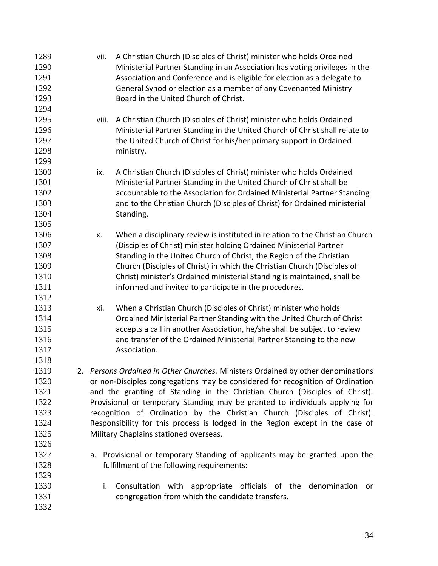| 1289 | A Christian Church (Disciples of Christ) minister who holds Ordained<br>vii.       |
|------|------------------------------------------------------------------------------------|
| 1290 | Ministerial Partner Standing in an Association has voting privileges in the        |
| 1291 | Association and Conference and is eligible for election as a delegate to           |
| 1292 | General Synod or election as a member of any Covenanted Ministry                   |
| 1293 | Board in the United Church of Christ.                                              |
| 1294 |                                                                                    |
| 1295 | A Christian Church (Disciples of Christ) minister who holds Ordained<br>viii.      |
| 1296 | Ministerial Partner Standing in the United Church of Christ shall relate to        |
| 1297 | the United Church of Christ for his/her primary support in Ordained                |
| 1298 | ministry.                                                                          |
| 1299 |                                                                                    |
| 1300 | A Christian Church (Disciples of Christ) minister who holds Ordained<br>ix.        |
| 1301 | Ministerial Partner Standing in the United Church of Christ shall be               |
| 1302 | accountable to the Association for Ordained Ministerial Partner Standing           |
| 1303 | and to the Christian Church (Disciples of Christ) for Ordained ministerial         |
| 1304 | Standing.                                                                          |
| 1305 |                                                                                    |
| 1306 | When a disciplinary review is instituted in relation to the Christian Church<br>Х. |
| 1307 | (Disciples of Christ) minister holding Ordained Ministerial Partner                |
| 1308 | Standing in the United Church of Christ, the Region of the Christian               |
| 1309 | Church (Disciples of Christ) in which the Christian Church (Disciples of           |
| 1310 | Christ) minister's Ordained ministerial Standing is maintained, shall be           |
| 1311 | informed and invited to participate in the procedures.                             |
| 1312 |                                                                                    |
| 1313 | When a Christian Church (Disciples of Christ) minister who holds<br>xi.            |
| 1314 | Ordained Ministerial Partner Standing with the United Church of Christ             |
| 1315 | accepts a call in another Association, he/she shall be subject to review           |
| 1316 | and transfer of the Ordained Ministerial Partner Standing to the new               |
| 1317 | Association.                                                                       |
| 1318 |                                                                                    |
| 1319 | 2. Persons Ordained in Other Churches. Ministers Ordained by other denominations   |
| 1320 | or non-Disciples congregations may be considered for recognition of Ordination     |
| 1321 | and the granting of Standing in the Christian Church (Disciples of Christ).        |
| 1322 | Provisional or temporary Standing may be granted to individuals applying for       |
| 1323 | recognition of Ordination by the Christian Church (Disciples of Christ).           |
| 1324 | Responsibility for this process is lodged in the Region except in the case of      |
| 1325 | Military Chaplains stationed overseas.                                             |
| 1326 |                                                                                    |
| 1327 | a. Provisional or temporary Standing of applicants may be granted upon the         |
| 1328 | fulfillment of the following requirements:                                         |
| 1329 |                                                                                    |
| 1330 | Consultation with appropriate officials of the denomination<br>i.<br>or            |
| 1331 | congregation from which the candidate transfers.                                   |
| 1332 |                                                                                    |
|      |                                                                                    |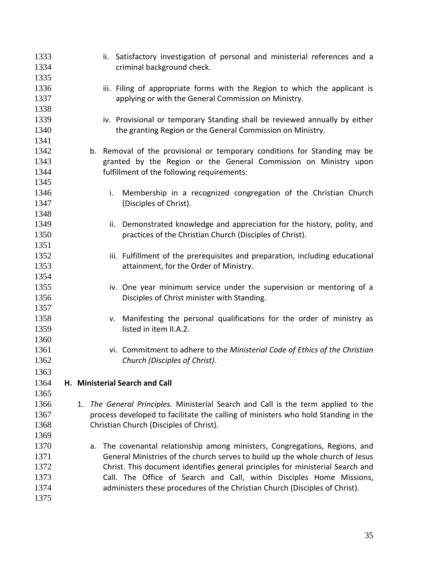| 1333<br>1334<br>1335 | ii. Satisfactory investigation of personal and ministerial references and a<br>criminal background check. |
|----------------------|-----------------------------------------------------------------------------------------------------------|
| 1336                 | iii. Filing of appropriate forms with the Region to which the applicant is                                |
| 1337                 | applying or with the General Commission on Ministry.                                                      |
| 1338                 |                                                                                                           |
| 1339                 | iv. Provisional or temporary Standing shall be reviewed annually by either                                |
| 1340                 | the granting Region or the General Commission on Ministry.                                                |
| 1341                 |                                                                                                           |
| 1342                 | b. Removal of the provisional or temporary conditions for Standing may be                                 |
| 1343                 | granted by the Region or the General Commission on Ministry upon                                          |
| 1344                 | fulfillment of the following requirements:                                                                |
| 1345                 |                                                                                                           |
| 1346                 | Membership in a recognized congregation of the Christian Church<br>i.                                     |
| 1347                 | (Disciples of Christ).                                                                                    |
| 1348                 |                                                                                                           |
| 1349                 | Demonstrated knowledge and appreciation for the history, polity, and<br>ii.                               |
| 1350                 | practices of the Christian Church (Disciples of Christ).                                                  |
| 1351                 |                                                                                                           |
| 1352                 | iii. Fulfillment of the prerequisites and preparation, including educational                              |
| 1353                 | attainment, for the Order of Ministry.                                                                    |
| 1354                 |                                                                                                           |
| 1355                 | iv. One year minimum service under the supervision or mentoring of a                                      |
| 1356                 | Disciples of Christ minister with Standing.                                                               |
| 1357                 |                                                                                                           |
| 1358                 | v. Manifesting the personal qualifications for the order of ministry as                                   |
| 1359                 | listed in item II.A.2.                                                                                    |
| 1360                 |                                                                                                           |
| 1361                 | vi. Commitment to adhere to the Ministerial Code of Ethics of the Christian                               |
| 1362                 | Church (Disciples of Christ).                                                                             |
| 1363                 |                                                                                                           |
| 1364                 | H. Ministerial Search and Call                                                                            |
| 1365                 |                                                                                                           |
| 1366                 | The General Principles. Ministerial Search and Call is the term applied to the<br>1.                      |
| 1367                 | process developed to facilitate the calling of ministers who hold Standing in the                         |
| 1368                 | Christian Church (Disciples of Christ).                                                                   |
| 1369                 |                                                                                                           |
| 1370                 | The covenantal relationship among ministers, Congregations, Regions, and<br>a.                            |
| 1371                 | General Ministries of the church serves to build up the whole church of Jesus                             |
| 1372                 | Christ. This document identifies general principles for ministerial Search and                            |
| 1373                 | Call. The Office of Search and Call, within Disciples Home Missions,                                      |
| 1374                 | administers these procedures of the Christian Church (Disciples of Christ).                               |
| 1375                 |                                                                                                           |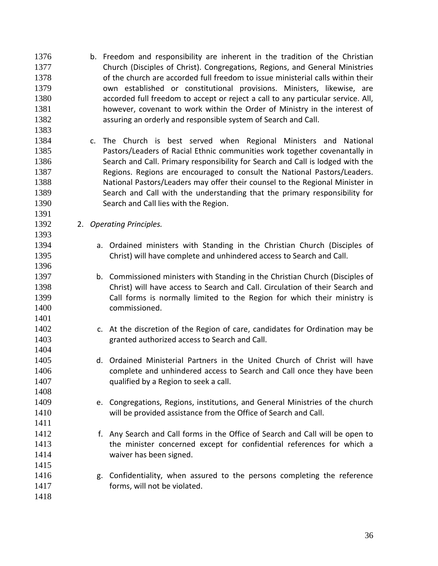- b. Freedom and responsibility are inherent in the tradition of the Christian Church (Disciples of Christ). Congregations, Regions, and General Ministries of the church are accorded full freedom to issue ministerial calls within their own established or constitutional provisions. Ministers, likewise, are accorded full freedom to accept or reject a call to any particular service. All, however, covenant to work within the Order of Ministry in the interest of assuring an orderly and responsible system of Search and Call.
- c. The Church is best served when Regional Ministers and National Pastors/Leaders of Racial Ethnic communities work together covenantally in Search and Call. Primary responsibility for Search and Call is lodged with the Regions. Regions are encouraged to consult the National Pastors/Leaders. National Pastors/Leaders may offer their counsel to the Regional Minister in Search and Call with the understanding that the primary responsibility for Search and Call lies with the Region.
- 2. *Operating Principles.*
- a. Ordained ministers with Standing in the Christian Church (Disciples of Christ) will have complete and unhindered access to Search and Call.
- b. Commissioned ministers with Standing in the Christian Church (Disciples of Christ) will have access to Search and Call. Circulation of their Search and Call forms is normally limited to the Region for which their ministry is commissioned.
- c. At the discretion of the Region of care, candidates for Ordination may be granted authorized access to Search and Call.
- d. Ordained Ministerial Partners in the United Church of Christ will have complete and unhindered access to Search and Call once they have been **qualified by a Region to seek a call.**
- e. Congregations, Regions, institutions, and General Ministries of the church will be provided assistance from the Office of Search and Call.
- f. Any Search and Call forms in the Office of Search and Call will be open to 1413 the minister concerned except for confidential references for which a waiver has been signed.
- **g.** Confidentiality, when assured to the persons completing the reference **forms, will not be violated.**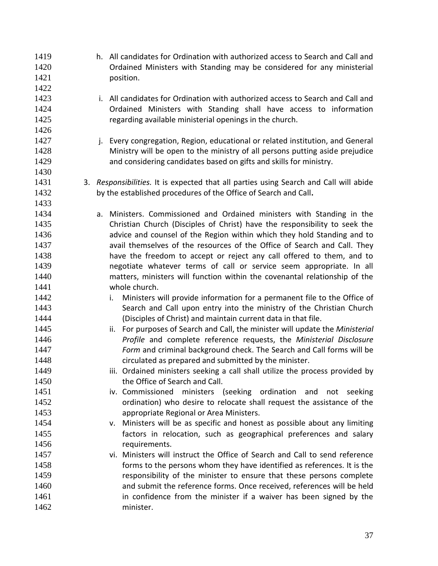h. All candidates for Ordination with authorized access to Search and Call and Ordained Ministers with Standing may be considered for any ministerial 1421 position. i. All candidates for Ordination with authorized access to Search and Call and Ordained Ministers with Standing shall have access to information 1425 regarding available ministerial openings in the church. **j.** Every congregation, Region, educational or related institution, and General Ministry will be open to the ministry of all persons putting aside prejudice and considering candidates based on gifts and skills for ministry. 3. *Responsibilities.* It is expected that all parties using Search and Call will abide by the established procedures of the Office of Search and Call**.** a. Ministers. Commissioned and Ordained ministers with Standing in the Christian Church (Disciples of Christ) have the responsibility to seek the **and 20 advice and counsel of the Region within which they hold Standing and to**  avail themselves of the resources of the Office of Search and Call. They have the freedom to accept or reject any call offered to them, and to negotiate whatever terms of call or service seem appropriate. In all matters, ministers will function within the covenantal relationship of the whole church. **i.** Ministers will provide information for a permanent file to the Office of Search and Call upon entry into the ministry of the Christian Church (Disciples of Christ) and maintain current data in that file. ii. For purposes of Search and Call, the minister will update the *Ministerial Profile* and complete reference requests, the *Ministerial Disclosure Form* and criminal background check. The Search and Call forms will be circulated as prepared and submitted by the minister. **iii.** Ordained ministers seeking a call shall utilize the process provided by 1450 the Office of Search and Call. iv. Commissioned ministers (seeking ordination and not seeking ordination) who desire to relocate shall request the assistance of the appropriate Regional or Area Ministers. v. Ministers will be as specific and honest as possible about any limiting factors in relocation, such as geographical preferences and salary 1456 requirements. vi. Ministers will instruct the Office of Search and Call to send reference forms to the persons whom they have identified as references. It is the responsibility of the minister to ensure that these persons complete and submit the reference forms. Once received, references will be held in confidence from the minister if a waiver has been signed by the minister.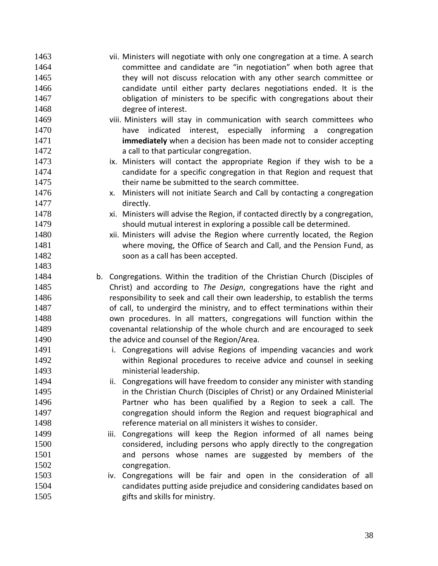vii. Ministers will negotiate with only one congregation at a time. A search committee and candidate are "in negotiation" when both agree that 1465 they will not discuss relocation with any other search committee or candidate until either party declares negotiations ended. It is the **b** obligation of ministers to be specific with congregations about their degree of interest. 1469 viii. Ministers will stay in communication with search committees who have indicated interest, especially informing a congregation **immediately** when a decision has been made not to consider accepting **a** call to that particular congregation. 1473 ix. Ministers will contact the appropriate Region if they wish to be a candidate for a specific congregation in that Region and request that their name be submitted to the search committee. x. Ministers will not initiate Search and Call by contacting a congregation directly. xi. Ministers will advise the Region, if contacted directly by a congregation, should mutual interest in exploring a possible call be determined. xii. Ministers will advise the Region where currently located, the Region where moving, the Office of Search and Call, and the Pension Fund, as soon as a call has been accepted. b. Congregations. Within the tradition of the Christian Church (Disciples of Christ) and according to *The Design*, congregations have the right and responsibility to seek and call their own leadership, to establish the terms 1487 of call, to undergird the ministry, and to effect terminations within their own procedures. In all matters, congregations will function within the covenantal relationship of the whole church and are encouraged to seek **the advice and counsel of the Region/Area.**  i. Congregations will advise Regions of impending vacancies and work within Regional procedures to receive advice and counsel in seeking ministerial leadership. ii. Congregations will have freedom to consider any minister with standing **in the Christian Church (Disciples of Christ) or any Ordained Ministerial**  Partner who has been qualified by a Region to seek a call. The congregation should inform the Region and request biographical and reference material on all ministers it wishes to consider. **iii.** Congregations will keep the Region informed of all names being considered, including persons who apply directly to the congregation and persons whose names are suggested by members of the 1502 congregation. iv. Congregations will be fair and open in the consideration of all candidates putting aside prejudice and considering candidates based on 1505 gifts and skills for ministry.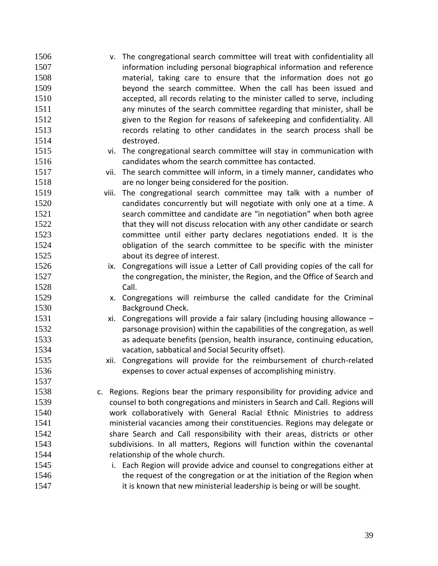| 1506 | v. The congregational search committee will treat with confidentiality all       |
|------|----------------------------------------------------------------------------------|
| 1507 | information including personal biographical information and reference            |
| 1508 | material, taking care to ensure that the information does not go                 |
| 1509 | beyond the search committee. When the call has been issued and                   |
| 1510 | accepted, all records relating to the minister called to serve, including        |
| 1511 | any minutes of the search committee regarding that minister, shall be            |
| 1512 | given to the Region for reasons of safekeeping and confidentiality. All          |
| 1513 | records relating to other candidates in the search process shall be              |
| 1514 | destroyed.                                                                       |
| 1515 | vi. The congregational search committee will stay in communication with          |
| 1516 | candidates whom the search committee has contacted.                              |
| 1517 | vii. The search committee will inform, in a timely manner, candidates who        |
| 1518 | are no longer being considered for the position.                                 |
| 1519 | The congregational search committee may talk with a number of<br>viii.           |
| 1520 | candidates concurrently but will negotiate with only one at a time. A            |
| 1521 | search committee and candidate are "in negotiation" when both agree              |
| 1522 | that they will not discuss relocation with any other candidate or search         |
| 1523 | committee until either party declares negotiations ended. It is the              |
| 1524 | obligation of the search committee to be specific with the minister              |
| 1525 | about its degree of interest.                                                    |
| 1526 | ix. Congregations will issue a Letter of Call providing copies of the call for   |
| 1527 | the congregation, the minister, the Region, and the Office of Search and         |
| 1528 | Call.                                                                            |
| 1529 | Congregations will reimburse the called candidate for the Criminal<br>X.         |
| 1530 | Background Check.                                                                |
| 1531 | Congregations will provide a fair salary (including housing allowance $-$<br>xi. |
| 1532 | parsonage provision) within the capabilities of the congregation, as well        |
| 1533 | as adequate benefits (pension, health insurance, continuing education,           |
| 1534 | vacation, sabbatical and Social Security offset).                                |
| 1535 | xii. Congregations will provide for the reimbursement of church-related          |
| 1536 | expenses to cover actual expenses of accomplishing ministry.                     |
| 1537 |                                                                                  |
| 1538 | Regions. Regions bear the primary responsibility for providing advice and<br>c.  |
| 1539 | counsel to both congregations and ministers in Search and Call. Regions will     |
| 1540 | work collaboratively with General Racial Ethnic Ministries to address            |
| 1541 | ministerial vacancies among their constituencies. Regions may delegate or        |
| 1542 | share Search and Call responsibility with their areas, districts or other        |
| 1543 | subdivisions. In all matters, Regions will function within the covenantal        |
| 1544 | relationship of the whole church.                                                |
| 1545 | i. Each Region will provide advice and counsel to congregations either at        |
| 1546 | the request of the congregation or at the initiation of the Region when          |
| 1547 | it is known that new ministerial leadership is being or will be sought.          |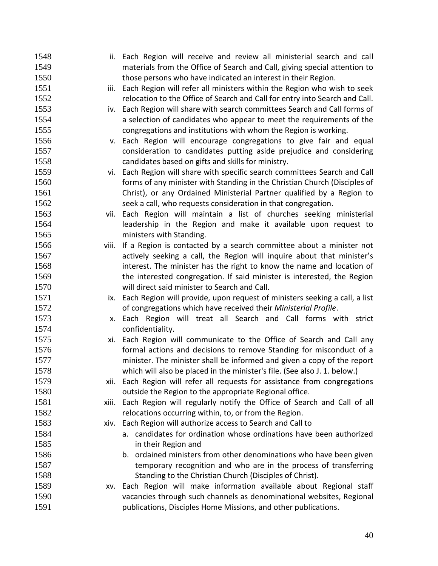| 1548 |     | ii. Each Region will receive and review all ministerial search and call      |
|------|-----|------------------------------------------------------------------------------|
| 1549 |     | materials from the Office of Search and Call, giving special attention to    |
| 1550 |     | those persons who have indicated an interest in their Region.                |
| 1551 |     | iii. Each Region will refer all ministers within the Region who wish to seek |
| 1552 |     | relocation to the Office of Search and Call for entry into Search and Call.  |
| 1553 |     | iv. Each Region will share with search committees Search and Call forms of   |
| 1554 |     | a selection of candidates who appear to meet the requirements of the         |
| 1555 |     | congregations and institutions with whom the Region is working.              |
| 1556 |     | v. Each Region will encourage congregations to give fair and equal           |
| 1557 |     | consideration to candidates putting aside prejudice and considering          |
| 1558 |     | candidates based on gifts and skills for ministry.                           |
| 1559 |     | vi. Each Region will share with specific search committees Search and Call   |
| 1560 |     | forms of any minister with Standing in the Christian Church (Disciples of    |
| 1561 |     | Christ), or any Ordained Ministerial Partner qualified by a Region to        |
| 1562 |     | seek a call, who requests consideration in that congregation.                |
| 1563 |     | vii. Each Region will maintain a list of churches seeking ministerial        |
| 1564 |     | leadership in the Region and make it available upon request to               |
| 1565 |     | ministers with Standing.                                                     |
| 1566 |     | viii. If a Region is contacted by a search committee about a minister not    |
| 1567 |     | actively seeking a call, the Region will inquire about that minister's       |
| 1568 |     | interest. The minister has the right to know the name and location of        |
| 1569 |     | the interested congregation. If said minister is interested, the Region      |
| 1570 |     | will direct said minister to Search and Call.                                |
| 1571 | ix. | Each Region will provide, upon request of ministers seeking a call, a list   |
| 1572 |     | of congregations which have received their Ministerial Profile.              |
| 1573 |     | x. Each Region will treat all Search and Call forms with strict              |
| 1574 |     | confidentiality.                                                             |
| 1575 |     | xi. Each Region will communicate to the Office of Search and Call any        |
| 1576 |     | formal actions and decisions to remove Standing for misconduct of a          |
| 1577 |     | minister. The minister shall be informed and given a copy of the report      |
| 1578 |     | which will also be placed in the minister's file. (See also J. 1. below.)    |
| 1579 |     | xii. Each Region will refer all requests for assistance from congregations   |
| 1580 |     | outside the Region to the appropriate Regional office.                       |
| 1581 |     | xiii. Each Region will regularly notify the Office of Search and Call of all |
| 1582 |     | relocations occurring within, to, or from the Region.                        |
| 1583 |     | xiv. Each Region will authorize access to Search and Call to                 |
| 1584 |     | a. candidates for ordination whose ordinations have been authorized          |
| 1585 |     | in their Region and                                                          |
| 1586 |     | b. ordained ministers from other denominations who have been given           |
| 1587 |     | temporary recognition and who are in the process of transferring             |
| 1588 |     | Standing to the Christian Church (Disciples of Christ).                      |
| 1589 |     | xv. Each Region will make information available about Regional staff         |
| 1590 |     | vacancies through such channels as denominational websites, Regional         |
| 1591 |     | publications, Disciples Home Missions, and other publications.               |
|      |     |                                                                              |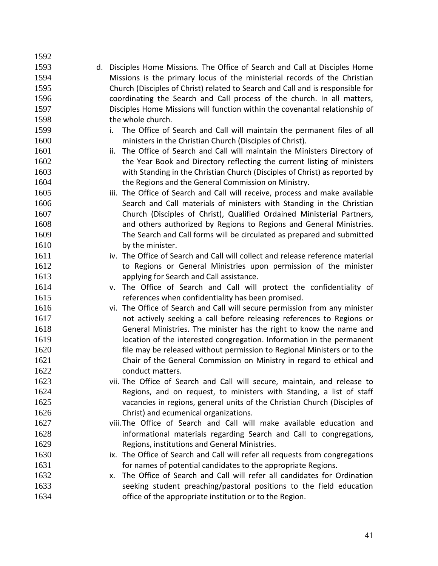d. Disciples Home Missions. The Office of Search and Call at Disciples Home Missions is the primary locus of the ministerial records of the Christian Church (Disciples of Christ) related to Search and Call and is responsible for coordinating the Search and Call process of the church. In all matters, Disciples Home Missions will function within the covenantal relationship of the whole church. i. The Office of Search and Call will maintain the permanent files of all ministers in the Christian Church (Disciples of Christ). ii. The Office of Search and Call will maintain the Ministers Directory of 1602 the Year Book and Directory reflecting the current listing of ministers with Standing in the Christian Church (Disciples of Christ) as reported by the Regions and the General Commission on Ministry. iii. The Office of Search and Call will receive, process and make available 1606 Search and Call materials of ministers with Standing in the Christian Church (Disciples of Christ), Qualified Ordained Ministerial Partners, and others authorized by Regions to Regions and General Ministries. The Search and Call forms will be circulated as prepared and submitted 1610 by the minister. iv. The Office of Search and Call will collect and release reference material to Regions or General Ministries upon permission of the minister applying for Search and Call assistance. v. The Office of Search and Call will protect the confidentiality of references when confidentiality has been promised. vi. The Office of Search and Call will secure permission from any minister not actively seeking a call before releasing references to Regions or General Ministries. The minister has the right to know the name and location of the interested congregation. Information in the permanent file may be released without permission to Regional Ministers or to the Chair of the General Commission on Ministry in regard to ethical and 1622 conduct matters. vii. The Office of Search and Call will secure, maintain, and release to 1624 Regions, and on request, to ministers with Standing, a list of staff vacancies in regions, general units of the Christian Church (Disciples of Christ) and ecumenical organizations. viii.The Office of Search and Call will make available education and informational materials regarding Search and Call to congregations, Regions, institutions and General Ministries. 1630 ix. The Office of Search and Call will refer all requests from congregations for names of potential candidates to the appropriate Regions. x. The Office of Search and Call will refer all candidates for Ordination seeking student preaching/pastoral positions to the field education office of the appropriate institution or to the Region.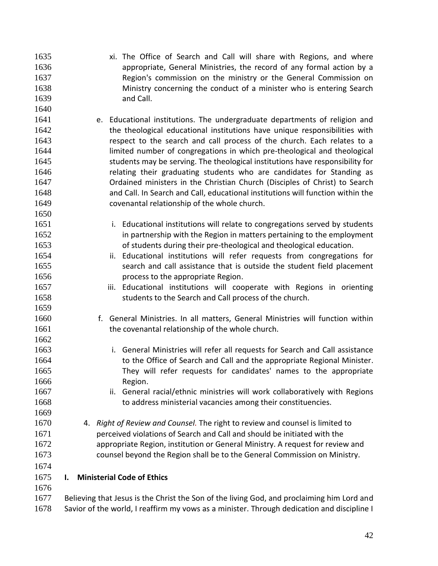- xi. The Office of Search and Call will share with Regions, and where appropriate, General Ministries, the record of any formal action by a Region's commission on the ministry or the General Commission on Ministry concerning the conduct of a minister who is entering Search and Call.
- e. Educational institutions. The undergraduate departments of religion and the theological educational institutions have unique responsibilities with respect to the search and call process of the church. Each relates to a limited number of congregations in which pre-theological and theological students may be serving. The theological institutions have responsibility for relating their graduating students who are candidates for Standing as Ordained ministers in the Christian Church (Disciples of Christ) to Search and Call. In Search and Call, educational institutions will function within the covenantal relationship of the whole church.
- i. Educational institutions will relate to congregations served by students 1652 in partnership with the Region in matters pertaining to the employment of students during their pre-theological and theological education.
- ii. Educational institutions will refer requests from congregations for search and call assistance that is outside the student field placement **process to the appropriate Region.**
- iii. Educational institutions will cooperate with Regions in orienting students to the Search and Call process of the church.
- f. General Ministries. In all matters, General Ministries will function within 1661 the covenantal relationship of the whole church.
- i. General Ministries will refer all requests for Search and Call assistance **to the Office of Search and Call and the appropriate Regional Minister.**  They will refer requests for candidates' names to the appropriate 1666 Region.
- ii. General racial/ethnic ministries will work collaboratively with Regions to address ministerial vacancies among their constituencies.
- 4. *Right of Review and Counsel.* The right to review and counsel is limited to perceived violations of Search and Call and should be initiated with the appropriate Region, institution or General Ministry. A request for review and counsel beyond the Region shall be to the General Commission on Ministry.
- 

- **I. Ministerial Code of Ethics**
- 

 Believing that Jesus is the Christ the Son of the living God, and proclaiming him Lord and Savior of the world, I reaffirm my vows as a minister. Through dedication and discipline I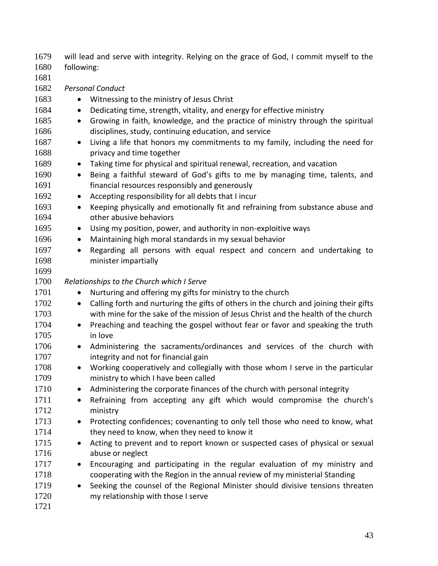1679 will lead and serve with integrity. Relying on the grace of God, I commit myself to the 1680 following:

1681 1682 *Personal Conduct* 1683 • Witnessing to the ministry of Jesus Christ 1684 • Dedicating time, strength, vitality, and energy for effective ministry 1685 • Growing in faith, knowledge, and the practice of ministry through the spiritual 1686 disciplines, study, continuing education, and service 1687 • Living a life that honors my commitments to my family, including the need for 1688 privacy and time together 1689 • Taking time for physical and spiritual renewal, recreation, and vacation 1690 • Being a faithful steward of God's gifts to me by managing time, talents, and 1691 financial resources responsibly and generously 1692 • Accepting responsibility for all debts that I incur 1693 • Keeping physically and emotionally fit and refraining from substance abuse and 1694 other abusive behaviors 1695 • Using my position, power, and authority in non-exploitive ways 1696 • Maintaining high moral standards in my sexual behavior 1697 • Regarding all persons with equal respect and concern and undertaking to 1698 minister impartially 1699 1700 *Relationships to the Church which I Serve* 1701 • Nurturing and offering my gifts for ministry to the church 1702 • Calling forth and nurturing the gifts of others in the church and joining their gifts 1703 with mine for the sake of the mission of Jesus Christ and the health of the church 1704 • Preaching and teaching the gospel without fear or favor and speaking the truth 1705 in love 1706 • Administering the sacraments/ordinances and services of the church with 1707 **integrity and not for financial gain** 1708 • Working cooperatively and collegially with those whom I serve in the particular 1709 ministry to which I have been called 1710 • Administering the corporate finances of the church with personal integrity 1711 • Refraining from accepting any gift which would compromise the church's 1712 ministry 1713 • Protecting confidences; covenanting to only tell those who need to know, what 1714 they need to know, when they need to know it 1715 • Acting to prevent and to report known or suspected cases of physical or sexual 1716 abuse or neglect 1717 • Encouraging and participating in the regular evaluation of my ministry and 1718 cooperating with the Region in the annual review of my ministerial Standing 1719 • Seeking the counsel of the Regional Minister should divisive tensions threaten 1720 my relationship with those I serve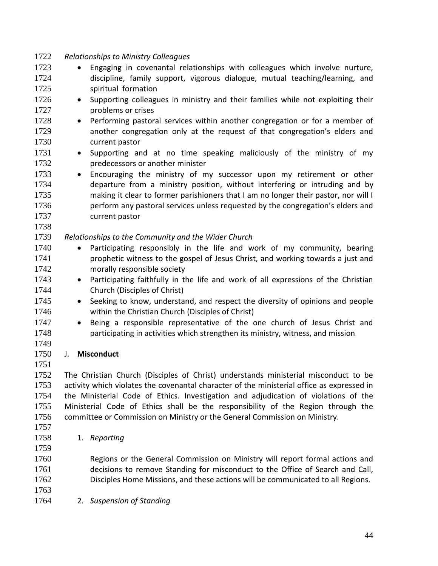*Relationships to Ministry Colleagues* 1723 • Engaging in covenantal relationships with colleagues which involve nurture, discipline, family support, vigorous dialogue, mutual teaching/learning, and spiritual formation 1726 • Supporting colleagues in ministry and their families while not exploiting their problems or crises 1728 • Performing pastoral services within another congregation or for a member of another congregation only at the request of that congregation's elders and current pastor 1731 • Supporting and at no time speaking maliciously of the ministry of my predecessors or another minister 1733 • Encouraging the ministry of my successor upon my retirement or other departure from a ministry position, without interfering or intruding and by making it clear to former parishioners that I am no longer their pastor, nor will I perform any pastoral services unless requested by the congregation's elders and current pastor *Relationships to the Community and the Wider Church* 1740 • Participating responsibly in the life and work of my community, bearing prophetic witness to the gospel of Jesus Christ, and working towards a just and morally responsible society 1743 • Participating faithfully in the life and work of all expressions of the Christian Church (Disciples of Christ) 1745 • Seeking to know, understand, and respect the diversity of opinions and people within the Christian Church (Disciples of Christ) 1747 • Being a responsible representative of the one church of Jesus Christ and participating in activities which strengthen its ministry, witness, and mission J. **Misconduct** The Christian Church (Disciples of Christ) understands ministerial misconduct to be 1753 activity which violates the covenantal character of the ministerial office as expressed in the Ministerial Code of Ethics. Investigation and adjudication of violations of the Ministerial Code of Ethics shall be the responsibility of the Region through the committee or Commission on Ministry or the General Commission on Ministry. 1. *Reporting* 

 Regions or the General Commission on Ministry will report formal actions and decisions to remove Standing for misconduct to the Office of Search and Call, Disciples Home Missions, and these actions will be communicated to all Regions.

- 
- 2. *Suspension of Standing*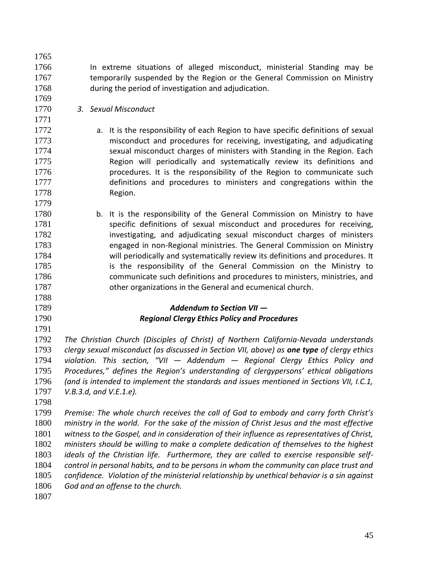1766 In extreme situations of alleged misconduct, ministerial Standing may be **temporarily suspended by the Region or the General Commission on Ministry** during the period of investigation and adjudication.

*3. Sexual Misconduct*

- a. It is the responsibility of each Region to have specific definitions of sexual misconduct and procedures for receiving, investigating, and adjudicating 1774 sexual misconduct charges of ministers with Standing in the Region. Each Region will periodically and systematically review its definitions and **procedures.** It is the responsibility of the Region to communicate such definitions and procedures to ministers and congregations within the Region.
- b. It is the responsibility of the General Commission on Ministry to have 1781 specific definitions of sexual misconduct and procedures for receiving, 1782 investigating, and adjudicating sexual misconduct charges of ministers engaged in non-Regional ministries. The General Commission on Ministry will periodically and systematically review its definitions and procedures. It is the responsibility of the General Commission on the Ministry to communicate such definitions and procedures to ministers, ministries, and other organizations in the General and ecumenical church.

# *Addendum to Section VII — Regional Clergy Ethics Policy and Procedures*

 *The Christian Church (Disciples of Christ) of Northern California-Nevada understands clergy sexual misconduct (as discussed in Section VII, above) as one type of clergy ethics violation. This section, "VII — Addendum — Regional Clergy Ethics Policy and Procedures," defines the Region's understanding of clergypersons' ethical obligations (and is intended to implement the standards and issues mentioned in Sections VII, I.C.1, V.B.3.d, and V.E.1.e).*

 *Premise: The whole church receives the call of God to embody and carry forth Christ's ministry in the world. For the sake of the mission of Christ Jesus and the most effective witness to the Gospel, and in consideration of their influence as representatives of Christ, ministers should be willing to make a complete dedication of themselves to the highest ideals of the Christian life. Furthermore, they are called to exercise responsible self- control in personal habits, and to be persons in whom the community can place trust and confidence. Violation of the ministerial relationship by unethical behavior is a sin against God and an offense to the church.*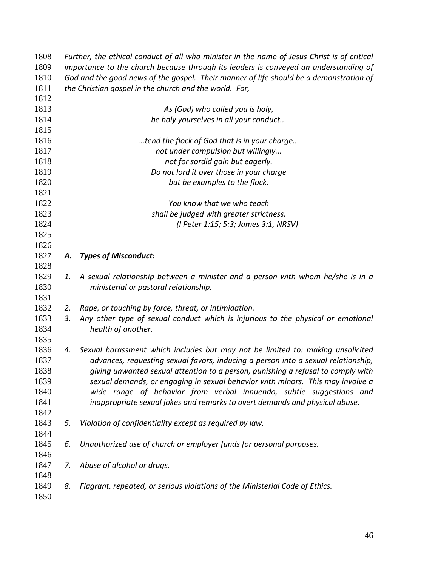| 1808 |    | Further, the ethical conduct of all who minister in the name of Jesus Christ is of critical |  |  |  |
|------|----|---------------------------------------------------------------------------------------------|--|--|--|
| 1809 |    | importance to the church because through its leaders is conveyed an understanding of        |  |  |  |
| 1810 |    | God and the good news of the gospel. Their manner of life should be a demonstration of      |  |  |  |
| 1811 |    | the Christian gospel in the church and the world. For,                                      |  |  |  |
| 1812 |    |                                                                                             |  |  |  |
| 1813 |    | As (God) who called you is holy,                                                            |  |  |  |
| 1814 |    | be holy yourselves in all your conduct                                                      |  |  |  |
| 1815 |    |                                                                                             |  |  |  |
| 1816 |    | tend the flock of God that is in your charge                                                |  |  |  |
| 1817 |    | not under compulsion but willingly                                                          |  |  |  |
| 1818 |    | not for sordid gain but eagerly.                                                            |  |  |  |
| 1819 |    | Do not lord it over those in your charge                                                    |  |  |  |
| 1820 |    | but be examples to the flock.                                                               |  |  |  |
| 1821 |    |                                                                                             |  |  |  |
| 1822 |    | You know that we who teach                                                                  |  |  |  |
| 1823 |    | shall be judged with greater strictness.                                                    |  |  |  |
| 1824 |    | (I Peter 1:15; 5:3; James 3:1, NRSV)                                                        |  |  |  |
| 1825 |    |                                                                                             |  |  |  |
| 1826 |    |                                                                                             |  |  |  |
| 1827 | А. | <b>Types of Misconduct:</b>                                                                 |  |  |  |
| 1828 |    |                                                                                             |  |  |  |
| 1829 | 1. | A sexual relationship between a minister and a person with whom he/she is in a              |  |  |  |
| 1830 |    | ministerial or pastoral relationship.                                                       |  |  |  |
| 1831 |    |                                                                                             |  |  |  |
| 1832 | 2. | Rape, or touching by force, threat, or intimidation.                                        |  |  |  |
| 1833 | 3. | Any other type of sexual conduct which is injurious to the physical or emotional            |  |  |  |
| 1834 |    | health of another.                                                                          |  |  |  |
| 1835 |    |                                                                                             |  |  |  |
| 1836 | 4. | Sexual harassment which includes but may not be limited to: making unsolicited              |  |  |  |
| 1837 |    | advances, requesting sexual favors, inducing a person into a sexual relationship,           |  |  |  |
| 1838 |    | giving unwanted sexual attention to a person, punishing a refusal to comply with            |  |  |  |
| 1839 |    | sexual demands, or engaging in sexual behavior with minors. This may involve a              |  |  |  |
| 1840 |    | wide range of behavior from verbal innuendo, subtle suggestions and                         |  |  |  |
| 1841 |    | inappropriate sexual jokes and remarks to overt demands and physical abuse.                 |  |  |  |
| 1842 |    |                                                                                             |  |  |  |
| 1843 | 5. | Violation of confidentiality except as required by law.                                     |  |  |  |
| 1844 |    |                                                                                             |  |  |  |
| 1845 | 6. | Unauthorized use of church or employer funds for personal purposes.                         |  |  |  |
| 1846 |    |                                                                                             |  |  |  |
| 1847 | 7. | Abuse of alcohol or drugs.                                                                  |  |  |  |
| 1848 |    |                                                                                             |  |  |  |
| 1849 | 8. | Flagrant, repeated, or serious violations of the Ministerial Code of Ethics.                |  |  |  |
| 1850 |    |                                                                                             |  |  |  |
|      |    |                                                                                             |  |  |  |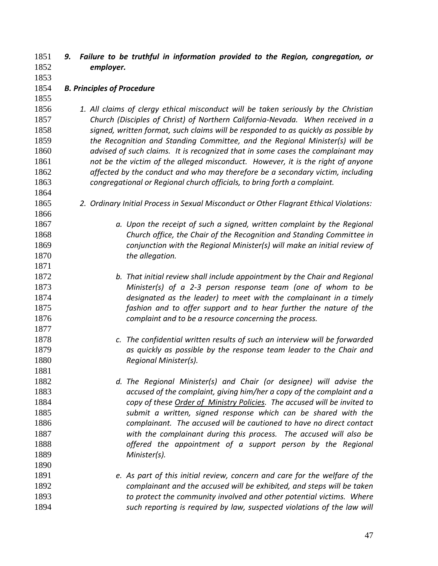- *9. Failure to be truthful in information provided to the Region, congregation, or employer.*
- *B. Principles of Procedure*
- 

- *1. All claims of clergy ethical misconduct will be taken seriously by the Christian Church (Disciples of Christ) of Northern California-Nevada. When received in a signed, written format, such claims will be responded to as quickly as possible by the Recognition and Standing Committee, and the Regional Minister(s) will be advised of such claims. It is recognized that in some cases the complainant may not be the victim of the alleged misconduct. However, it is the right of anyone affected by the conduct and who may therefore be a secondary victim, including congregational or Regional church officials, to bring forth a complaint.*
- *2. Ordinary Initial Process in Sexual Misconduct or Other Flagrant Ethical Violations:*
- *a. Upon the receipt of such a signed, written complaint by the Regional Church office, the Chair of the Recognition and Standing Committee in conjunction with the Regional Minister(s) will make an initial review of the allegation.*
- *b. That initial review shall include appointment by the Chair and Regional Minister(s) of a 2-3 person response team (one of whom to be designated as the leader) to meet with the complainant in a timely fashion and to offer support and to hear further the nature of the complaint and to be a resource concerning the process.*
- *c. The confidential written results of such an interview will be forwarded as quickly as possible by the response team leader to the Chair and Regional Minister(s).*
- *d. The Regional Minister(s) and Chair (or designee) will advise the accused of the complaint, giving him/her a copy of the complaint and a copy of these Order of Ministry Policies. The accused will be invited to submit a written, signed response which can be shared with the complainant. The accused will be cautioned to have no direct contact with the complainant during this process. The accused will also be offered the appointment of a support person by the Regional Minister(s).*
- *e. As part of this initial review, concern and care for the welfare of the complainant and the accused will be exhibited, and steps will be taken to protect the community involved and other potential victims. Where such reporting is required by law, suspected violations of the law will*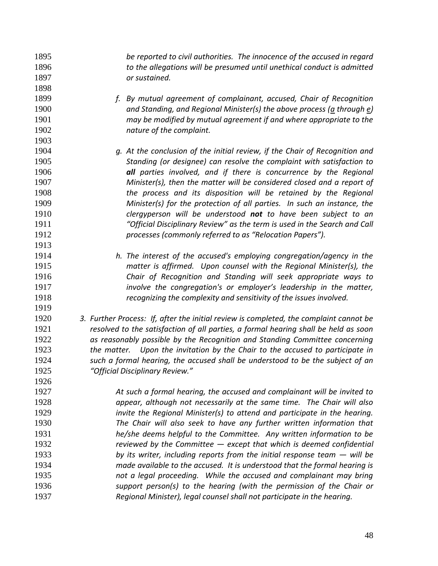*be reported to civil authorities. The innocence of the accused in regard to the allegations will be presumed until unethical conduct is admitted or sustained.*

- *f. By mutual agreement of complainant, accused, Chair of Recognition and Standing, and Regional Minister(s) the above process (a through e) may be modified by mutual agreement if and where appropriate to the nature of the complaint.*
- *g. At the conclusion of the initial review, if the Chair of Recognition and Standing (or designee) can resolve the complaint with satisfaction to all parties involved, and if there is concurrence by the Regional Minister(s), then the matter will be considered closed and a report of the process and its disposition will be retained by the Regional Minister(s) for the protection of all parties. In such an instance, the clergyperson will be understood not to have been subject to an "Official Disciplinary Review" as the term is used in the Search and Call processes (commonly referred to as "Relocation Papers").*

- *h. The interest of the accused's employing congregation/agency in the matter is affirmed. Upon counsel with the Regional Minister(s), the Chair of Recognition and Standing will seek appropriate ways to involve the congregation's or employer's leadership in the matter, recognizing the complexity and sensitivity of the issues involved.*
- *3. Further Process: If, after the initial review is completed, the complaint cannot be resolved to the satisfaction of all parties, a formal hearing shall be held as soon as reasonably possible by the Recognition and Standing Committee concerning the matter. Upon the invitation by the Chair to the accused to participate in such a formal hearing, the accused shall be understood to be the subject of an "Official Disciplinary Review."*

 *At such a formal hearing, the accused and complainant will be invited to appear, although not necessarily at the same time. The Chair will also invite the Regional Minister(s) to attend and participate in the hearing. The Chair will also seek to have any further written information that he/she deems helpful to the Committee. Any written information to be reviewed by the Committee — except that which is deemed confidential by its writer, including reports from the initial response team — will be made available to the accused. It is understood that the formal hearing is not a legal proceeding. While the accused and complainant may bring support person(s) to the hearing (with the permission of the Chair or Regional Minister), legal counsel shall not participate in the hearing.*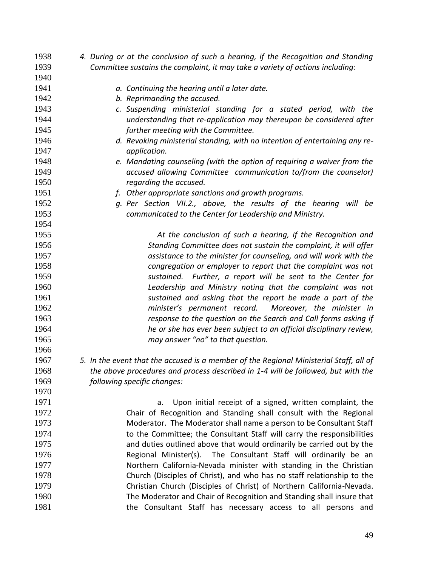| 1938 | 4. During or at the conclusion of such a hearing, if the Recognition and Standing      |
|------|----------------------------------------------------------------------------------------|
| 1939 | Committee sustains the complaint, it may take a variety of actions including:          |
| 1940 |                                                                                        |
| 1941 | a. Continuing the hearing until a later date.                                          |
| 1942 | b. Reprimanding the accused.                                                           |
| 1943 | c. Suspending ministerial standing for a stated period, with the                       |
| 1944 | understanding that re-application may thereupon be considered after                    |
| 1945 | further meeting with the Committee.                                                    |
| 1946 | d. Revoking ministerial standing, with no intention of entertaining any re-            |
| 1947 | application.                                                                           |
| 1948 | e. Mandating counseling (with the option of requiring a waiver from the                |
| 1949 | accused allowing Committee communication to/from the counselor)                        |
| 1950 | regarding the accused.                                                                 |
| 1951 | f. Other appropriate sanctions and growth programs.                                    |
| 1952 | g. Per Section VII.2., above, the results of the hearing will be                       |
| 1953 | communicated to the Center for Leadership and Ministry.                                |
| 1954 |                                                                                        |
| 1955 | At the conclusion of such a hearing, if the Recognition and                            |
| 1956 | Standing Committee does not sustain the complaint, it will offer                       |
| 1957 | assistance to the minister for counseling, and will work with the                      |
| 1958 | congregation or employer to report that the complaint was not                          |
| 1959 | sustained. Further, a report will be sent to the Center for                            |
| 1960 | Leadership and Ministry noting that the complaint was not                              |
| 1961 | sustained and asking that the report be made a part of the                             |
| 1962 | minister's permanent record.<br>Moreover, the minister in                              |
| 1963 | response to the question on the Search and Call forms asking if                        |
| 1964 | he or she has ever been subject to an official disciplinary review,                    |
| 1965 | may answer "no" to that question.                                                      |
| 1966 |                                                                                        |
| 1967 | 5. In the event that the accused is a member of the Regional Ministerial Staff, all of |
| 1968 | the above procedures and process described in 1-4 will be followed, but with the       |
| 1969 | following specific changes:                                                            |
| 1970 |                                                                                        |
| 1971 | Upon initial receipt of a signed, written complaint, the<br>a.                         |
| 1972 | Chair of Recognition and Standing shall consult with the Regional                      |
| 1973 | Moderator. The Moderator shall name a person to be Consultant Staff                    |
| 1974 | to the Committee; the Consultant Staff will carry the responsibilities                 |
| 1975 | and duties outlined above that would ordinarily be carried out by the                  |
| 1976 | Regional Minister(s). The Consultant Staff will ordinarily be an                       |
| 1977 | Northern California-Nevada minister with standing in the Christian                     |
| 1978 | Church (Disciples of Christ), and who has no staff relationship to the                 |
| 1979 | Christian Church (Disciples of Christ) of Northern California-Nevada.                  |
| 1980 | The Moderator and Chair of Recognition and Standing shall insure that                  |
| 1981 | the Consultant Staff has necessary access to all persons and                           |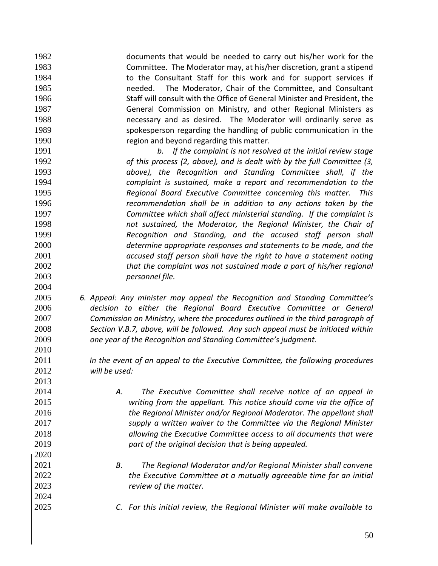documents that would be needed to carry out his/her work for the Committee. The Moderator may, at his/her discretion, grant a stipend to the Consultant Staff for this work and for support services if needed. The Moderator, Chair of the Committee, and Consultant Staff will consult with the Office of General Minister and President, the General Commission on Ministry, and other Regional Ministers as necessary and as desired. The Moderator will ordinarily serve as spokesperson regarding the handling of public communication in the region and beyond regarding this matter.

 *b. If the complaint is not resolved at the initial review stage of this process (2, above), and is dealt with by the full Committee (3, above), the Recognition and Standing Committee shall, if the complaint is sustained, make a report and recommendation to the Regional Board Executive Committee concerning this matter. This recommendation shall be in addition to any actions taken by the Committee which shall affect ministerial standing. If the complaint is not sustained, the Moderator, the Regional Minister, the Chair of Recognition and Standing, and the accused staff person shall determine appropriate responses and statements to be made, and the accused staff person shall have the right to have a statement noting that the complaint was not sustained made a part of his/her regional personnel file.*

 *6. Appeal: Any minister may appeal the Recognition and Standing Committee's decision to either the Regional Board Executive Committee or General Commission on Ministry, where the procedures outlined in the third paragraph of Section V.B.7, above, will be followed. Any such appeal must be initiated within one year of the Recognition and Standing Committee's judgment.* 

 *In the event of an appeal to the Executive Committee, the following procedures will be used:*

- *A. The Executive Committee shall receive notice of an appeal in writing from the appellant. This notice should come via the office of the Regional Minister and/or Regional Moderator. The appellant shall supply a written waiver to the Committee via the Regional Minister allowing the Executive Committee access to all documents that were part of the original decision that is being appealed.*
- *B. The Regional Moderator and/or Regional Minister shall convene the Executive Committee at a mutually agreeable time for an initial review of the matter.*
- *C. For this initial review, the Regional Minister will make available to*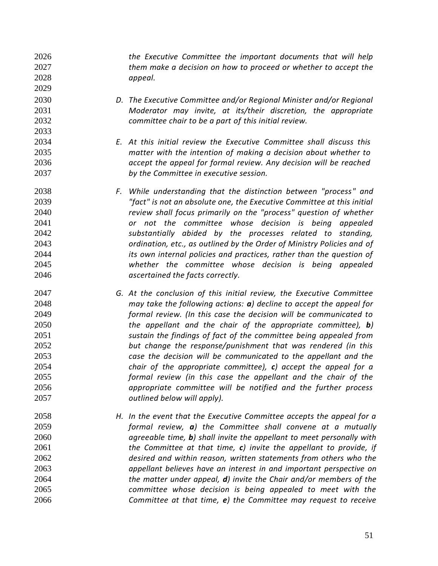*the Executive Committee the important documents that will help them make a decision on how to proceed or whether to accept the appeal.*

- *D. The Executive Committee and/or Regional Minister and/or Regional Moderator may invite, at its/their discretion, the appropriate committee chair to be a part of this initial review.*
- *E. At this initial review the Executive Committee shall discuss this matter with the intention of making a decision about whether to accept the appeal for formal review. Any decision will be reached by the Committee in executive session.*

- *F. While understanding that the distinction between "process" and "fact" is not an absolute one, the Executive Committee at this initial review shall focus primarily on the "process" question of whether or not the committee whose decision is being appealed substantially abided by the processes related to standing, ordination, etc., as outlined by the Order of Ministry Policies and of its own internal policies and practices, rather than the question of whether the committee whose decision is being appealed ascertained the facts correctly.*
- *G. At the conclusion of this initial review, the Executive Committee may take the following actions: a) decline to accept the appeal for formal review. (In this case the decision will be communicated to the appellant and the chair of the appropriate committee), b) sustain the findings of fact of the committee being appealed from but change the response/punishment that was rendered (in this case the decision will be communicated to the appellant and the chair of the appropriate committee), c) accept the appeal for a formal review (in this case the appellant and the chair of the appropriate committee will be notified and the further process outlined below will apply).*
- *H. In the event that the Executive Committee accepts the appeal for a formal review, a) the Committee shall convene at a mutually agreeable time, b) shall invite the appellant to meet personally with the Committee at that time, c) invite the appellant to provide, if desired and within reason, written statements from others who the appellant believes have an interest in and important perspective on the matter under appeal, d) invite the Chair and/or members of the committee whose decision is being appealed to meet with the Committee at that time, e) the Committee may request to receive*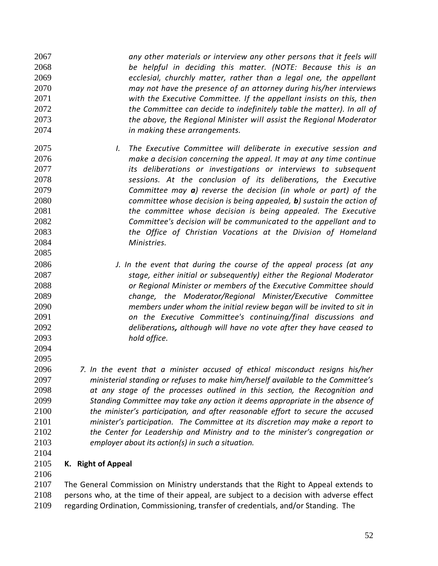*any other materials or interview any other persons that it feels will be helpful in deciding this matter. (NOTE: Because this is an ecclesial, churchly matter, rather than a legal one, the appellant may not have the presence of an attorney during his/her interviews with the Executive Committee. If the appellant insists on this, then the Committee can decide to indefinitely table the matter). In all of the above, the Regional Minister will assist the Regional Moderator in making these arrangements.*

- *I. The Executive Committee will deliberate in executive session and make a decision concerning the appeal. It may at any time continue its deliberations or investigations or interviews to subsequent sessions. At the conclusion of its deliberations, the Executive Committee may a) reverse the decision (in whole or part) of the committee whose decision is being appealed, b) sustain the action of the committee whose decision is being appealed. The Executive Committee's decision will be communicated to the appellant and to the Office of Christian Vocations at the Division of Homeland Ministries.*
- *J. In the event that during the course of the appeal process (at any stage, either initial or subsequently) either the Regional Moderator or Regional Minister or members of* the *Executive Committee should change, the Moderator/Regional Minister/Executive Committee members under whom the initial review began will be invited to sit in on the Executive Committee's continuing/final discussions and deliberations, although will have no vote after they have ceased to hold office.*

 *7. In the event that a minister accused of ethical misconduct resigns his/her ministerial standing or refuses to make him/herself available to the Committee's at any stage of the processes outlined in this section, the Recognition and Standing Committee may take any action it deems appropriate in the absence of the minister's participation, and after reasonable effort to secure the accused minister's participation. The Committee at its discretion may make a report to the Center for Leadership and Ministry and to the minister's congregation or employer about its action(s) in such a situation.*

 

### **K. Right of Appeal**

 The General Commission on Ministry understands that the Right to Appeal extends to 2108 persons who, at the time of their appeal, are subject to a decision with adverse effect regarding Ordination, Commissioning, transfer of credentials, and/or Standing. The